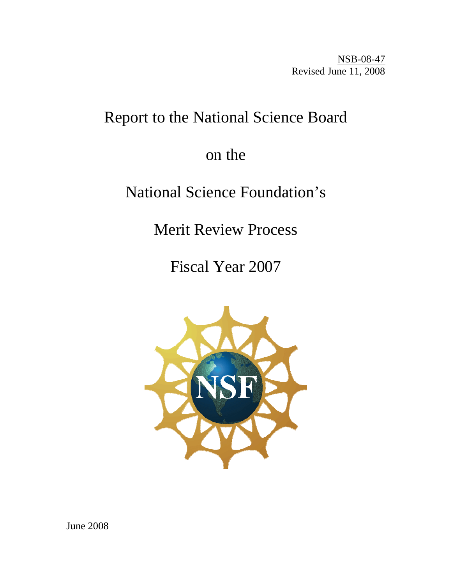NSB-08-47 Revised June 11, 2008

# Report to the National Science Board

# on the

# National Science Foundation's

Merit Review Process

Fiscal Year 2007

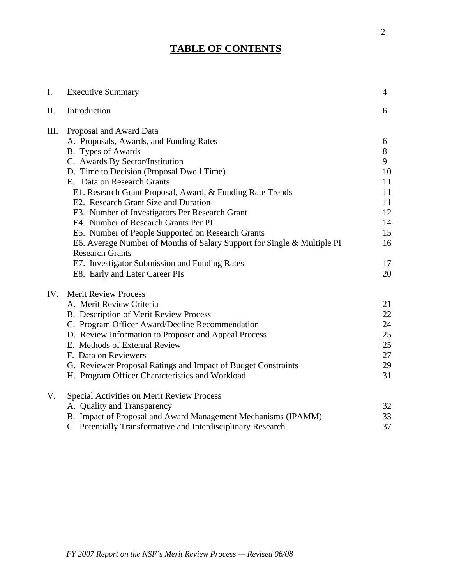# **TABLE OF CONTENTS**

| Ι.   | <b>Executive Summary</b>                                                | $\overline{4}$ |
|------|-------------------------------------------------------------------------|----------------|
| Π.   | Introduction                                                            | 6              |
| III. | Proposal and Award Data                                                 |                |
|      | A. Proposals, Awards, and Funding Rates                                 | 6              |
|      | B. Types of Awards                                                      | $8\,$          |
|      | C. Awards By Sector/Institution                                         | 9              |
|      | D. Time to Decision (Proposal Dwell Time)                               | 10             |
|      | E. Data on Research Grants                                              | 11             |
|      | E1. Research Grant Proposal, Award, & Funding Rate Trends               | 11             |
|      | E2. Research Grant Size and Duration                                    | 11             |
|      | E3. Number of Investigators Per Research Grant                          | 12             |
|      | E4. Number of Research Grants Per PI                                    | 14             |
|      | E5. Number of People Supported on Research Grants                       | 15             |
|      | E6. Average Number of Months of Salary Support for Single & Multiple PI | 16             |
|      | <b>Research Grants</b>                                                  |                |
|      | E7. Investigator Submission and Funding Rates                           | 17             |
|      | E8. Early and Later Career PIs                                          | 20             |
| IV.  | <b>Merit Review Process</b>                                             |                |
|      | A. Merit Review Criteria                                                | 21             |
|      | B. Description of Merit Review Process                                  | 22             |
|      | C. Program Officer Award/Decline Recommendation                         | 24             |
|      | D. Review Information to Proposer and Appeal Process                    | 25             |
|      | E. Methods of External Review                                           | 25             |
|      | F. Data on Reviewers                                                    | 27             |
|      | G. Reviewer Proposal Ratings and Impact of Budget Constraints           | 29             |
|      | H. Program Officer Characteristics and Workload                         | 31             |
| V.   | <b>Special Activities on Merit Review Process</b>                       |                |
|      | A. Quality and Transparency                                             | 32             |
|      | B. Impact of Proposal and Award Management Mechanisms (IPAMM)           | 33             |
|      | C. Potentially Transformative and Interdisciplinary Research            | 37             |

*FY 2007 Report on the NSF's Merit Review Process — Revised 06/08*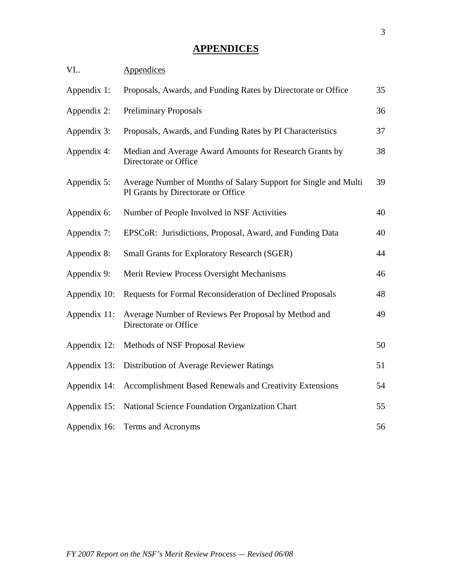# **APPENDICES**

| VI.          | Appendices                                                                                            |    |
|--------------|-------------------------------------------------------------------------------------------------------|----|
| Appendix 1:  | Proposals, Awards, and Funding Rates by Directorate or Office                                         | 35 |
| Appendix 2:  | <b>Preliminary Proposals</b>                                                                          | 36 |
| Appendix 3:  | Proposals, Awards, and Funding Rates by PI Characteristics                                            | 37 |
| Appendix 4:  | Median and Average Award Amounts for Research Grants by<br>Directorate or Office                      | 38 |
| Appendix 5:  | Average Number of Months of Salary Support for Single and Multi<br>PI Grants by Directorate or Office | 39 |
| Appendix 6:  | Number of People Involved in NSF Activities                                                           | 40 |
| Appendix 7:  | EPSCoR: Jurisdictions, Proposal, Award, and Funding Data                                              | 40 |
| Appendix 8:  | <b>Small Grants for Exploratory Research (SGER)</b>                                                   | 44 |
| Appendix 9:  | Merit Review Process Oversight Mechanisms                                                             | 46 |
| Appendix 10: | Requests for Formal Reconsideration of Declined Proposals                                             | 48 |
| Appendix 11: | Average Number of Reviews Per Proposal by Method and<br>Directorate or Office                         | 49 |
| Appendix 12: | Methods of NSF Proposal Review                                                                        | 50 |
| Appendix 13: | Distribution of Average Reviewer Ratings                                                              | 51 |
| Appendix 14: | Accomplishment Based Renewals and Creativity Extensions                                               | 54 |
| Appendix 15: | National Science Foundation Organization Chart                                                        | 55 |
| Appendix 16: | Terms and Acronyms                                                                                    | 56 |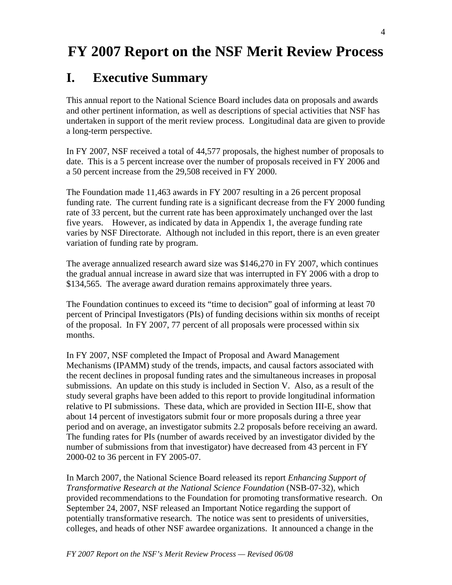# **FY 2007 Report on the NSF Merit Review Process**

# **I. Executive Summary**

This annual report to the National Science Board includes data on proposals and awards and other pertinent information, as well as descriptions of special activities that NSF has undertaken in support of the merit review process. Longitudinal data are given to provide a long-term perspective.

In FY 2007, NSF received a total of 44,577 proposals, the highest number of proposals to date. This is a 5 percent increase over the number of proposals received in FY 2006 and a 50 percent increase from the 29,508 received in FY 2000.

The Foundation made 11,463 awards in FY 2007 resulting in a 26 percent proposal funding rate. The current funding rate is a significant decrease from the FY 2000 funding rate of 33 percent, but the current rate has been approximately unchanged over the last five years. However, as indicated by data in Appendix 1, the average funding rate varies by NSF Directorate. Although not included in this report, there is an even greater variation of funding rate by program.

The average annualized research award size was \$146,270 in FY 2007, which continues the gradual annual increase in award size that was interrupted in FY 2006 with a drop to \$134,565. The average award duration remains approximately three years.

The Foundation continues to exceed its "time to decision" goal of informing at least 70 percent of Principal Investigators (PIs) of funding decisions within six months of receipt of the proposal. In FY 2007, 77 percent of all proposals were processed within six months.

In FY 2007, NSF completed the Impact of Proposal and Award Management Mechanisms (IPAMM) study of the trends, impacts, and causal factors associated with the recent declines in proposal funding rates and the simultaneous increases in proposal submissions. An update on this study is included in Section V. Also, as a result of the study several graphs have been added to this report to provide longitudinal information relative to PI submissions. These data, which are provided in Section III-E, show that about 14 percent of investigators submit four or more proposals during a three year period and on average, an investigator submits 2.2 proposals before receiving an award. The funding rates for PIs (number of awards received by an investigator divided by the number of submissions from that investigator) have decreased from 43 percent in FY 2000-02 to 36 percent in FY 2005-07.

In March 2007, the National Science Board released its report *Enhancing Support of Transformative Research at the National Science Foundation* (NSB-07-32), which provided recommendations to the Foundation for promoting transformative research. On September 24, 2007, NSF released an Important Notice regarding the support of potentially transformative research. The notice was sent to presidents of universities, colleges, and heads of other NSF awardee organizations. It announced a change in the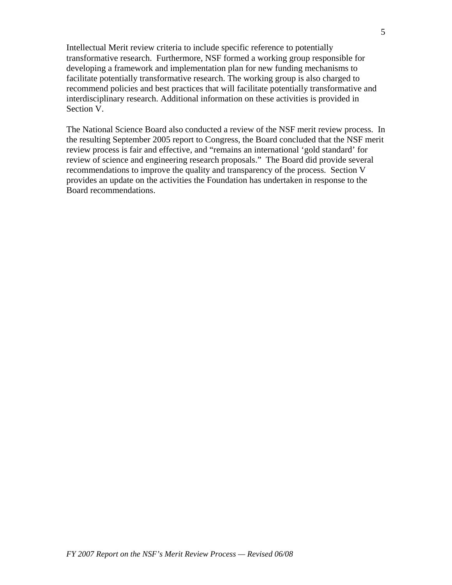Intellectual Merit review criteria to include specific reference to potentially transformative research. Furthermore, NSF formed a working group responsible for developing a framework and implementation plan for new funding mechanisms to facilitate potentially transformative research. The working group is also charged to recommend policies and best practices that will facilitate potentially transformative and interdisciplinary research. Additional information on these activities is provided in Section V.

The National Science Board also conducted a review of the NSF merit review process. In the resulting September 2005 report to Congress, the Board concluded that the NSF merit review process is fair and effective, and "remains an international 'gold standard' for review of science and engineering research proposals." The Board did provide several recommendations to improve the quality and transparency of the process. Section V provides an update on the activities the Foundation has undertaken in response to the Board recommendations.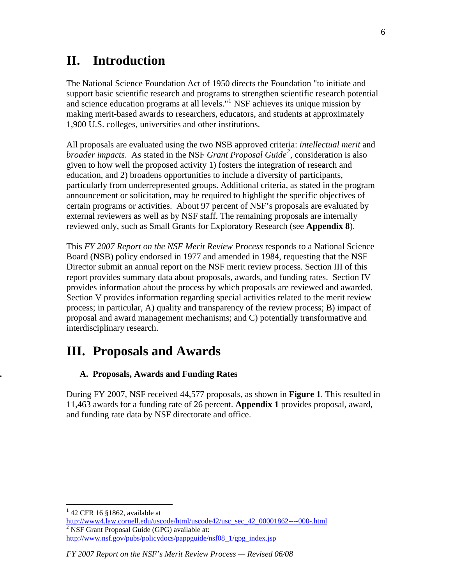# **II. Introduction**

The National Science Foundation Act of 1950 directs the Foundation "to initiate and support basic scientific research and programs to strengthen scientific research potential and science education programs at all levels."<sup>[1](#page-5-0)</sup> NSF achieves its unique mission by making merit-based awards to researchers, educators, and students at approximately 1,900 U.S. colleges, universities and other institutions.

All proposals are evaluated using the two NSB approved criteria: *intellectual merit* and *broader impacts*. As stated in the NSF *Grant Proposal Guide[2](#page-5-1)* , consideration is also given to how well the proposed activity 1) fosters the integration of research and education, and 2) broadens opportunities to include a diversity of participants, particularly from underrepresented groups. Additional criteria, as stated in the program announcement or solicitation, may be required to highlight the specific objectives of certain programs or activities. About 97 percent of NSF's proposals are evaluated by external reviewers as well as by NSF staff. The remaining proposals are internally reviewed only, such as Small Grants for Exploratory Research (see **Appendix 8**).

This *FY 2007 Report on the NSF Merit Review Process* responds to a National Science Board (NSB) policy endorsed in 1977 and amended in 1984, requesting that the NSF Director submit an annual report on the NSF merit review process. Section III of this report provides summary data about proposals, awards, and funding rates. Section IV provides information about the process by which proposals are reviewed and awarded. Section V provides information regarding special activities related to the merit review process; in particular, A) quality and transparency of the review process; B) impact of proposal and award management mechanisms; and C) potentially transformative and interdisciplinary research.

# **III. Proposals and Awards**

# **. A. Proposals, Awards and Funding Rates**

During FY 2007, NSF received 44,577 proposals, as shown in **Figure 1**. This resulted in 11,463 awards for a funding rate of 26 percent. **Appendix 1** provides proposal, award, and funding rate data by NSF directorate and office.

 $\overline{a}$ 

 $142$  CFR 16 §1862, available at

<span id="page-5-1"></span><span id="page-5-0"></span>[http://www4.law.cornell.edu/uscode/html/uscode42/usc\\_sec\\_42\\_00001862----000-.html](http://www4.law.cornell.edu/uscode/html/uscode42/usc_sec_42_00001862----000-.html)  $2$  NSF Grant Proposal Guide (GPG) available at:

http://www.nsf.gov/pubs/policydocs/pappguide/nsf08 1/gpg index.jsp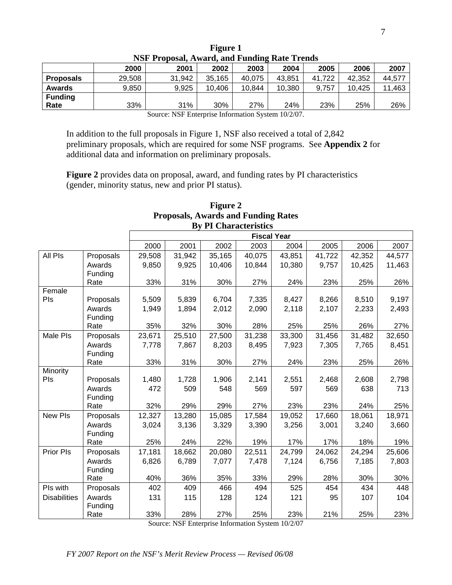| TST TTOposal, Awaru, and Funding Rate Trenus          |                                                              |        |        |        |        |        |        |        |  |  |  |  |
|-------------------------------------------------------|--------------------------------------------------------------|--------|--------|--------|--------|--------|--------|--------|--|--|--|--|
|                                                       | 2007<br>2000<br>2005<br>2006<br>2002<br>2004<br>2001<br>2003 |        |        |        |        |        |        |        |  |  |  |  |
| <b>Proposals</b>                                      | 29,508                                                       | 31,942 | 35,165 | 40.075 | 43.851 | 41,722 | 42.352 | 44.577 |  |  |  |  |
| <b>Awards</b>                                         | 9,850                                                        | 9,925  | 10,406 | 10.844 | 10,380 | 9.757  | 10.425 | 11,463 |  |  |  |  |
| <b>Funding</b>                                        |                                                              |        |        |        |        |        |        |        |  |  |  |  |
| 31%<br>33%<br>30%<br>23%<br>27%<br>24%<br>25%<br>Rate |                                                              |        |        |        |        |        |        | 26%    |  |  |  |  |

| Figure 1 |                                                     |  |  |  |  |  |  |  |
|----------|-----------------------------------------------------|--|--|--|--|--|--|--|
|          | <b>NSF Proposal, Award, and Funding Rate Trends</b> |  |  |  |  |  |  |  |

Source: NSF Enterprise Information System 10/2/07.

In addition to the full proposals in Figure 1, NSF also received a total of 2,842 preliminary proposals, which are required for some NSF programs. See **Appendix 2** for additional data and information on preliminary proposals.

**Figure 2** provides data on proposal, award, and funding rates by PI characteristics (gender, minority status, new and prior PI status).

|                     |                 |        |        | <b>By PI Unaracteristics</b> |                    |        |        |        |        |
|---------------------|-----------------|--------|--------|------------------------------|--------------------|--------|--------|--------|--------|
|                     |                 |        |        |                              | <b>Fiscal Year</b> |        |        |        |        |
|                     |                 | 2000   | 2001   | 2002                         | 2003               | 2004   | 2005   | 2006   | 2007   |
| All Pls             | Proposals       | 29,508 | 31,942 | 35,165                       | 40,075             | 43,851 | 41,722 | 42,352 | 44,577 |
|                     | Awards          | 9,850  | 9,925  | 10,406                       | 10,844             | 10,380 | 9,757  | 10,425 | 11,463 |
|                     | Funding         |        |        |                              |                    |        |        |        |        |
|                     | Rate            | 33%    | 31%    | 30%                          | 27%                | 24%    | 23%    | 25%    | 26%    |
| Female              |                 |        |        |                              |                    |        |        |        |        |
| Pls                 | Proposals       | 5,509  | 5,839  | 6,704                        | 7,335              | 8,427  | 8,266  | 8,510  | 9,197  |
|                     | Awards          | 1,949  | 1,894  | 2,012                        | 2,090              | 2,118  | 2,107  | 2,233  | 2,493  |
|                     | Funding<br>Rate | 35%    | 32%    | 30%                          | 28%                | 25%    | 25%    | 26%    | 27%    |
| Male Pls            | Proposals       | 23,671 | 25,510 | 27,500                       | 31,238             | 33,300 | 31,456 | 31,482 | 32,650 |
|                     | Awards          | 7,778  | 7,867  | 8,203                        | 8,495              | 7,923  | 7,305  | 7,765  | 8,451  |
|                     | Funding         |        |        |                              |                    |        |        |        |        |
|                     | Rate            | 33%    | 31%    | 30%                          | 27%                | 24%    | 23%    | 25%    | 26%    |
| Minority            |                 |        |        |                              |                    |        |        |        |        |
| Pls                 | Proposals       | 1,480  | 1,728  | 1,906                        | 2,141              | 2,551  | 2,468  | 2,608  | 2,798  |
|                     | Awards          | 472    | 509    | 548                          | 569                | 597    | 569    | 638    | 713    |
|                     | Funding         |        |        |                              |                    |        |        |        |        |
|                     | Rate            | 32%    | 29%    | 29%                          | 27%                | 23%    | 23%    | 24%    | 25%    |
| <b>New PIs</b>      | Proposals       | 12,327 | 13,280 | 15,085                       | 17,584             | 19,052 | 17,660 | 18,061 | 18,971 |
|                     | Awards          | 3,024  | 3,136  | 3,329                        | 3,390              | 3,256  | 3,001  | 3,240  | 3,660  |
|                     | Funding         |        |        |                              |                    |        |        |        |        |
|                     | Rate            | 25%    | 24%    | 22%                          | 19%                | 17%    | 17%    | 18%    | 19%    |
| <b>Prior PIs</b>    | Proposals       | 17,181 | 18,662 | 20,080                       | 22,511             | 24,799 | 24,062 | 24,294 | 25,606 |
|                     | Awards          | 6,826  | 6,789  | 7,077                        | 7,478              | 7,124  | 6,756  | 7,185  | 7,803  |
|                     | Funding         |        |        |                              |                    |        |        |        |        |
|                     | Rate            | 40%    | 36%    | 35%                          | 33%                | 29%    | 28%    | 30%    | 30%    |
| Pls with            | Proposals       | 402    | 409    | 466                          | 494                | 525    | 454    | 434    | 448    |
| <b>Disabilities</b> | Awards          | 131    | 115    | 128                          | 124                | 121    | 95     | 107    | 104    |
|                     | Funding         |        |        |                              |                    |        |        |        |        |
|                     | Rate            | 33%    | 28%    | 27%                          | 25%                | 23%    | 21%    | 25%    | 23%    |

### **Figure 2 Proposals, Awards and Funding Rates By PI Characteristics**

Source: NSF Enterprise Information System 10/2/07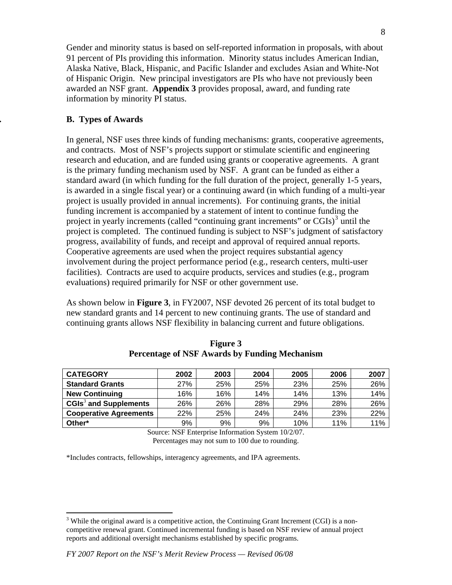Gender and minority status is based on self-reported information in proposals, with about 91 percent of PIs providing this information. Minority status includes American Indian, Alaska Native, Black, Hispanic, and Pacific Islander and excludes Asian and White-Not of Hispanic Origin. New principal investigators are PIs who have not previously been awarded an NSF grant. **Appendix 3** provides proposal, award, and funding rate information by minority PI status.

## **. B. Types of Awards**

In general, NSF uses three kinds of funding mechanisms: grants, cooperative agreements, and contracts. Most of NSF's projects support or stimulate scientific and engineering research and education, and are funded using grants or cooperative agreements. A grant is the primary funding mechanism used by NSF. A grant can be funded as either a standard award (in which funding for the full duration of the project, generally 1-5 years, is awarded in a single fiscal year) or a continuing award (in which funding of a multi-year project is usually provided in annual increments). For continuing grants, the initial funding increment is accompanied by a statement of intent to continue funding the project in yearly increments (called "continuing grant increments" or  $CGIs$ )<sup>[3](#page-7-0)</sup> until the project is completed. The continued funding is subject to NSF's judgment of satisfactory progress, availability of funds, and receipt and approval of required annual reports. Cooperative agreements are used when the project requires substantial agency involvement during the project performance period (e.g., research centers, multi-user facilities). Contracts are used to acquire products, services and studies (e.g., program evaluations) required primarily for NSF or other government use.

As shown below in **Figure 3**, in FY2007, NSF devoted 26 percent of its total budget to new standard grants and 14 percent to new continuing grants. The use of standard and continuing grants allows NSF flexibility in balancing current and future obligations.

| <b>CATEGORY</b>               | 2002 | 2003 | 2004 | 2005 | 2006 | 2007 |
|-------------------------------|------|------|------|------|------|------|
| <b>Standard Grants</b>        | 27%  | 25%  | 25%  | 23%  | 25%  | 26%  |
| <b>New Continuing</b>         | 16%  | 16%  | 14%  | 14%  | 13%  | 14%  |
| $CGIs3$ and Supplements       | 26%  | 26%  | 28%  | 29%  | 28%  | 26%  |
| <b>Cooperative Agreements</b> | 22%  | 25%  | 24%  | 24%  | 23%  | 22%  |
| Other*                        | 9%   | 9%   | 9%   | 10%  | 11%  | 11%  |

**Figure 3 Percentage of NSF Awards by Funding Mechanism** 

Source: NSF Enterprise Information System 10/2/07. Percentages may not sum to 100 due to rounding.

\*Includes contracts, fellowships, interagency agreements, and IPA agreements.

<span id="page-7-0"></span> $\overline{a}$  $3$  While the original award is a competitive action, the Continuing Grant Increment (CGI) is a noncompetitive renewal grant. Continued incremental funding is based on NSF review of annual project reports and additional oversight mechanisms established by specific programs.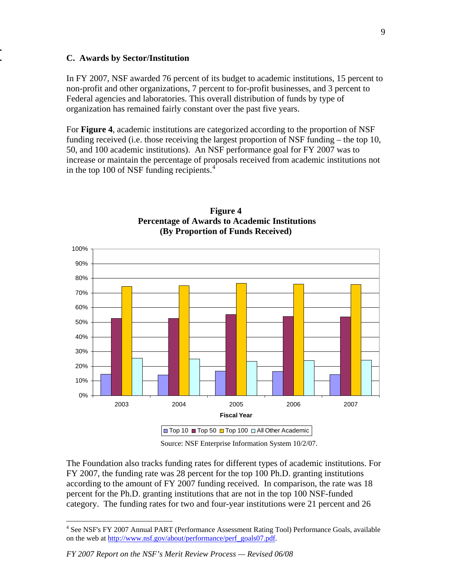#### **. C. Awards by Sector/Institution**

**.**

In FY 2007, NSF awarded 76 percent of its budget to academic institutions, 15 percent to non-profit and other organizations, 7 percent to for-profit businesses, and 3 percent to Federal agencies and laboratories. This overall distribution of funds by type of organization has remained fairly constant over the past five years.

For **Figure 4**, academic institutions are categorized according to the proportion of NSF funding received (i.e. those receiving the largest proportion of NSF funding – the top 10, 50, and 100 academic institutions). An NSF performance goal for FY 2007 was to increase or maintain the percentage of proposals received from academic institutions not in the top 100 of NSF funding recipients.<sup>[4](#page-8-0)</sup>



### **Figure 4 Percentage of Awards to Academic Institutions (By Proportion of Funds Received)**

Source: NSF Enterprise Information System 10/2/07.

The Foundation also tracks funding rates for different types of academic institutions. For FY 2007, the funding rate was 28 percent for the top 100 Ph.D. granting institutions according to the amount of FY 2007 funding received. In comparison, the rate was 18 percent for the Ph.D. granting institutions that are not in the top 100 NSF-funded category. The funding rates for two and four-year institutions were 21 percent and 26

 $\overline{a}$ 

<span id="page-8-0"></span><sup>&</sup>lt;sup>4</sup> See NSF's FY 2007 Annual PART (Performance Assessment Rating Tool) Performance Goals, available on the web at [http://www.nsf.gov/about/performance/perf\\_goals07.pdf.](http://www.nsf.gov/about/performance/perf_goals07.pdf)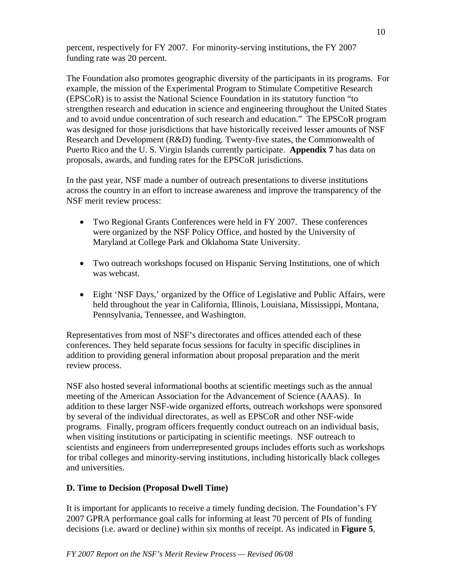percent, respectively for FY 2007. For minority-serving institutions, the FY 2007 funding rate was 20 percent.

The Foundation also promotes geographic diversity of the participants in its programs. For example, the mission of the Experimental Program to Stimulate Competitive Research (EPSCoR) is to assist the National Science Foundation in its statutory function "to strengthen research and education in science and engineering throughout the United States and to avoid undue concentration of such research and education." The EPSCoR program was designed for those jurisdictions that have historically received lesser amounts of NSF Research and Development (R&D) funding. Twenty-five states, the Commonwealth of Puerto Rico and the U. S. Virgin Islands currently participate. **Appendix 7** has data on proposals, awards, and funding rates for the EPSCoR jurisdictions.

In the past year, NSF made a number of outreach presentations to diverse institutions across the country in an effort to increase awareness and improve the transparency of the NSF merit review process:

- Two Regional Grants Conferences were held in FY 2007. These conferences were organized by the NSF Policy Office, and hosted by the University of Maryland at College Park and Oklahoma State University.
- Two outreach workshops focused on Hispanic Serving Institutions, one of which was webcast.
- Eight 'NSF Days,' organized by the Office of Legislative and Public Affairs, were held throughout the year in California, Illinois, Louisiana, Mississippi, Montana, Pennsylvania, Tennessee, and Washington.

Representatives from most of NSF's directorates and offices attended each of these conferences. They held separate focus sessions for faculty in specific disciplines in addition to providing general information about proposal preparation and the merit review process.

NSF also hosted several informational booths at scientific meetings such as the annual meeting of the American Association for the Advancement of Science (AAAS). In addition to these larger NSF-wide organized efforts, outreach workshops were sponsored by several of the individual directorates, as well as EPSCoR and other NSF-wide programs. Finally, program officers frequently conduct outreach on an individual basis, when visiting institutions or participating in scientific meetings. NSF outreach to scientists and engineers from underrepresented groups includes efforts such as workshops for tribal colleges and minority-serving institutions, including historically black colleges and universities.

# **D. Time to Decision (Proposal Dwell Time)**

It is important for applicants to receive a timely funding decision. The Foundation's FY 2007 GPRA performance goal calls for informing at least 70 percent of PIs of funding decisions (i.e. award or decline) within six months of receipt. As indicated in **Figure 5**,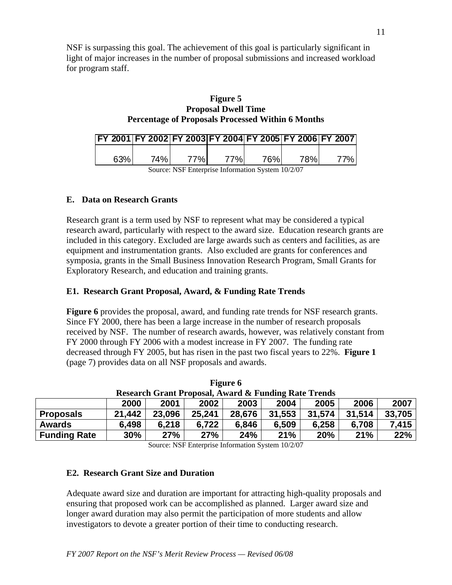NSF is surpassing this goal. The achievement of this goal is particularly significant in light of major increases in the number of proposal submissions and increased workload for program staff.

| Figure 5                                                 |
|----------------------------------------------------------|
| <b>Proposal Dwell Time</b>                               |
| <b>Percentage of Proposals Processed Within 6 Months</b> |

| FY 2001 FY 2002 FY 2003 FY 2004 FY 2005 FY 2006 FY 2007 |     |      |            |     |      |  |
|---------------------------------------------------------|-----|------|------------|-----|------|--|
| ନ3%                                                     | 74% | 77%L | <b>77%</b> | 76% | 78%. |  |

Source: NSF Enterprise Information System 10/2/07

### **E. Data on Research Grants**

Research grant is a term used by NSF to represent what may be considered a typical research award, particularly with respect to the award size. Education research grants are included in this category. Excluded are large awards such as centers and facilities, as are equipment and instrumentation grants. Also excluded are grants for conferences and symposia, grants in the Small Business Innovation Research Program, Small Grants for Exploratory Research, and education and training grants.

## **E1. Research Grant Proposal, Award, & Funding Rate Trends**

**Figure 6** provides the proposal, award, and funding rate trends for NSF research grants. Since FY 2000, there has been a large increase in the number of research proposals received by NSF. The number of research awards, however, was relatively constant from FY 2000 through FY 2006 with a modest increase in FY 2007. The funding rate decreased through FY 2005, but has risen in the past two fiscal years to 22%. **Figure 1**  (page 7) provides data on all NSF proposals and awards.

| <b>Research Grant Proposal, Award &amp; Funding Rate Trends</b>                        |                                                              |  |  |  |  |  |        |       |  |  |  |
|----------------------------------------------------------------------------------------|--------------------------------------------------------------|--|--|--|--|--|--------|-------|--|--|--|
|                                                                                        | 2006<br>2007<br>2005<br>2002<br>2000<br>2004<br>2001<br>2003 |  |  |  |  |  |        |       |  |  |  |
| 31,553<br>25,241<br>31.514<br>21,442<br>23,096<br>31,574<br>28,676<br><b>Proposals</b> |                                                              |  |  |  |  |  | 33,705 |       |  |  |  |
| 6,498<br>6,218<br>6.722<br>6,846<br>6,258<br>6,708<br>6,509<br><b>Awards</b>           |                                                              |  |  |  |  |  |        | 7,415 |  |  |  |
| <b>Funding Rate</b>                                                                    | 27%<br>24%<br>27%<br>21%<br>21%<br>30%<br>20%<br>22%         |  |  |  |  |  |        |       |  |  |  |

**Figure 6** 

Source: NSF Enterprise Information System 10/2/07

#### **E2. Research Grant Size and Duration**

Adequate award size and duration are important for attracting high-quality proposals and ensuring that proposed work can be accomplished as planned. Larger award size and longer award duration may also permit the participation of more students and allow investigators to devote a greater portion of their time to conducting research.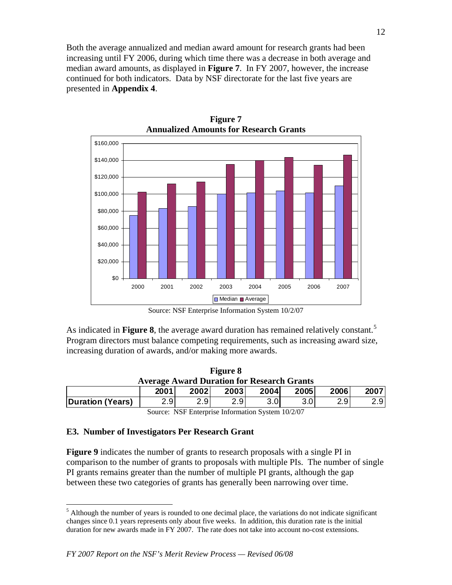Both the average annualized and median award amount for research grants had been increasing until FY 2006, during which time there was a decrease in both average and median award amounts, as displayed in **Figure 7**. In FY 2007, however, the increase continued for both indicators. Data by NSF directorate for the last five years are presented in **Appendix 4**.

**Figure 7** 



Source: NSF Enterprise Information System 10/2/07

As indicated in **Figure 8**, the average award duration has remained relatively constant.<sup>[5](#page-11-0)</sup> Program directors must balance competing requirements, such as increasing award size, increasing duration of awards, and/or making more awards.

| Figure 8                                                          |                                                             |  |  |  |  |  |  |  |  |  |
|-------------------------------------------------------------------|-------------------------------------------------------------|--|--|--|--|--|--|--|--|--|
| <b>Average Award Duration for Research Grants</b>                 |                                                             |  |  |  |  |  |  |  |  |  |
|                                                                   | 2006<br>2005<br><b>2004</b><br>2007<br>2001<br>2002<br>2003 |  |  |  |  |  |  |  |  |  |
| 2.9<br>2.9<br>2.91<br>2.9<br>2.9 <sub>l</sub><br>Duration (Years) |                                                             |  |  |  |  |  |  |  |  |  |

Source: NSF Enterprise Information System 10/2/07

# **E3. Number of Investigators Per Research Grant**

 $\overline{a}$ 

**Figure 9** indicates the number of grants to research proposals with a single PI in comparison to the number of grants to proposals with multiple PIs. The number of single PI grants remains greater than the number of multiple PI grants, although the gap between these two categories of grants has generally been narrowing over time.

<span id="page-11-0"></span><sup>&</sup>lt;sup>5</sup> Although the number of years is rounded to one decimal place, the variations do not indicate significant changes since 0.1 years represents only about five weeks. In addition, this duration rate is the initial duration for new awards made in FY 2007. The rate does not take into account no-cost extensions.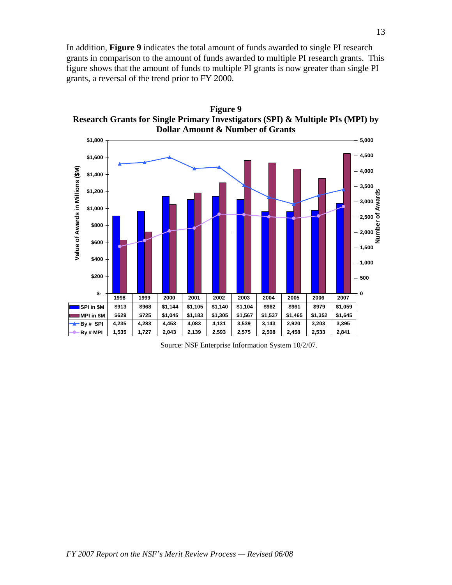In addition, **Figure 9** indicates the total amount of funds awarded to single PI research grants in comparison to the amount of funds awarded to multiple PI research grants. This figure shows that the amount of funds to multiple PI grants is now greater than single PI grants, a reversal of the trend prior to FY 2000.

**Figure 9** 



Source: NSF Enterprise Information System 10/2/07.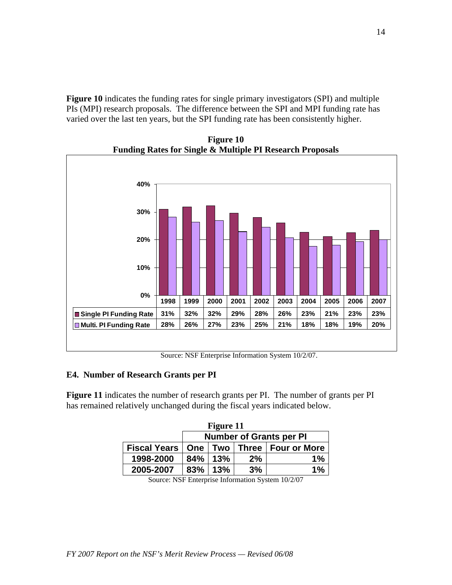**Figure 10** indicates the funding rates for single primary investigators (SPI) and multiple PIs (MPI) research proposals. The difference between the SPI and MPI funding rate has varied over the last ten years, but the SPI funding rate has been consistently higher.

**0% 10% 20% 30% 40% Single PI Funding Rate 31% 32% 32% 29% 28% 26% 23% 21% 23% 23% Multi. PI Funding Rate 28% 26% 27% 23% 25% 21% 18% 18% 19% 20% 1998 1999 2000 2001 2002 2003 2004 2005 2006 2007**

**Figure 10 Funding Rates for Single & Multiple PI Research Proposals** 

Source: NSF Enterprise Information System 10/2/07.

#### **E4. Number of Research Grants per PI**

**Figure 11** indicates the number of research grants per PI. The number of grants per PI has remained relatively unchanged during the fiscal years indicated below.

| Figure 11           |                                          |  |  |  |  |  |  |  |  |
|---------------------|------------------------------------------|--|--|--|--|--|--|--|--|
|                     | <b>Number of Grants per PI</b>           |  |  |  |  |  |  |  |  |
| <b>Fiscal Years</b> | Two   Three   Four or More<br><b>One</b> |  |  |  |  |  |  |  |  |
| 1998-2000           | 84%<br>13%<br>2%<br>1%                   |  |  |  |  |  |  |  |  |
| 2005-2007           | 83%<br>3%<br>13%<br>$1\%$                |  |  |  |  |  |  |  |  |

Source: NSF Enterprise Information System 10/2/07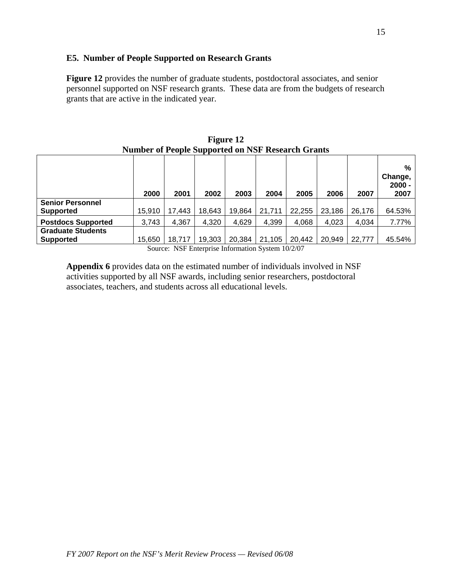### **E5. Number of People Supported on Research Grants**

**Figure 12** provides the number of graduate students, postdoctoral associates, and senior personnel supported on NSF research grants. These data are from the budgets of research grants that are active in the indicated year.

|                                             | 2000   | 2001                                  | .<br>2002 | 2003   | 2004   | 2005                                  | 2006   | 2007   | %<br>Change,<br>$2000 -$<br>2007 |
|---------------------------------------------|--------|---------------------------------------|-----------|--------|--------|---------------------------------------|--------|--------|----------------------------------|
| <b>Senior Personnel</b><br><b>Supported</b> | 15.910 | 17,443                                | 18,643    | 19,864 | 21,711 | 22,255                                | 23,186 | 26,176 | 64.53%                           |
| <b>Postdocs Supported</b>                   | 3,743  | 4,367                                 | 4,320     | 4,629  | 4,399  | 4,068                                 | 4,023  | 4,034  | 7.77%                            |
| <b>Graduate Students</b>                    |        |                                       |           |        |        |                                       |        |        |                                  |
| <b>Supported</b>                            | 15,650 | 18,717<br>$\sim$ $\sim$ $\sim$ $\sim$ | 19,303    | 20,384 | 21,105 | 20,442<br>$\sim$ $\sim$ $\sim$ $\sim$ | 20,949 | 22,777 | 45.54%                           |

**Figure 12 Number of People Supported on NSF Research Grants** 

Source: NSF Enterprise Information System 10/2/07

**Appendix 6** provides data on the estimated number of individuals involved in NSF activities supported by all NSF awards, including senior researchers, postdoctoral associates, teachers, and students across all educational levels.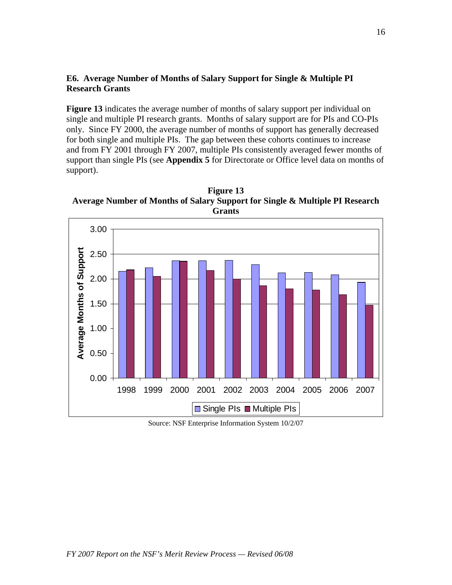#### **E6. Average Number of Months of Salary Support for Single & Multiple PI Research Grants**

Figure 13 indicates the average number of months of salary support per individual on single and multiple PI research grants. Months of salary support are for PIs and CO-PIs only. Since FY 2000, the average number of months of support has generally decreased for both single and multiple PIs. The gap between these cohorts continues to increase and from FY 2001 through FY 2007, multiple PIs consistently averaged fewer months of support than single PIs (see **Appendix 5** for Directorate or Office level data on months of support).

**Figure 13 Average Number of Months of Salary Support for Single & Multiple PI Research Grants** 



Source: NSF Enterprise Information System 10/2/07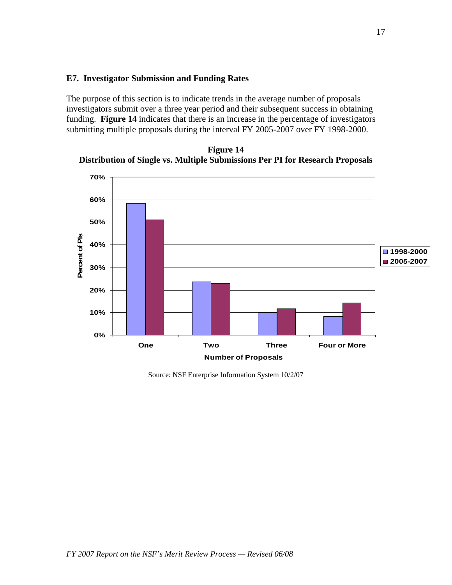#### **E7. Investigator Submission and Funding Rates**

The purpose of this section is to indicate trends in the average number of proposals investigators submit over a three year period and their subsequent success in obtaining funding. **Figure 14** indicates that there is an increase in the percentage of investigators submitting multiple proposals during the interval FY 2005-2007 over FY 1998-2000.



**Figure 14 Distribution of Single vs. Multiple Submissions Per PI for Research Proposals** 

Source: NSF Enterprise Information System 10/2/07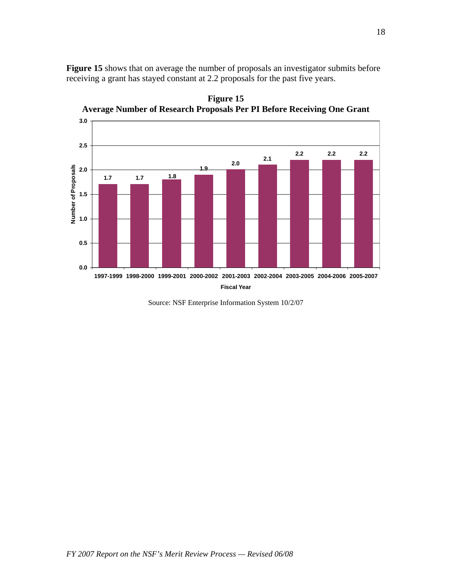**Figure 15** shows that on average the number of proposals an investigator submits before receiving a grant has stayed constant at 2.2 proposals for the past five years.



**Figure 15 Average Number of Research Proposals Per PI Before Receiving One Grant** 

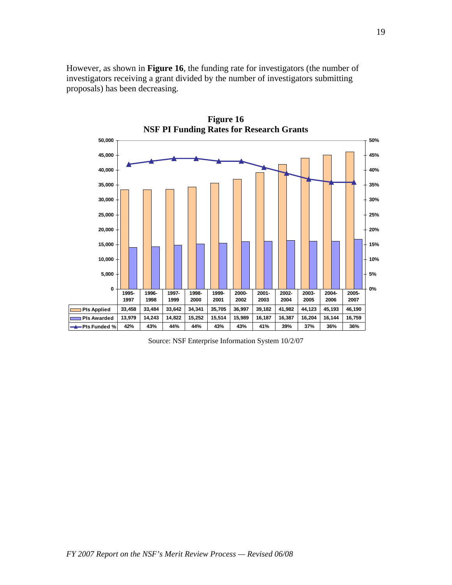However, as shown in **Figure 16**, the funding rate for investigators (the number of investigators receiving a grant divided by the number of investigators submitting proposals) has been decreasing.



Source: NSF Enterprise Information System 10/2/07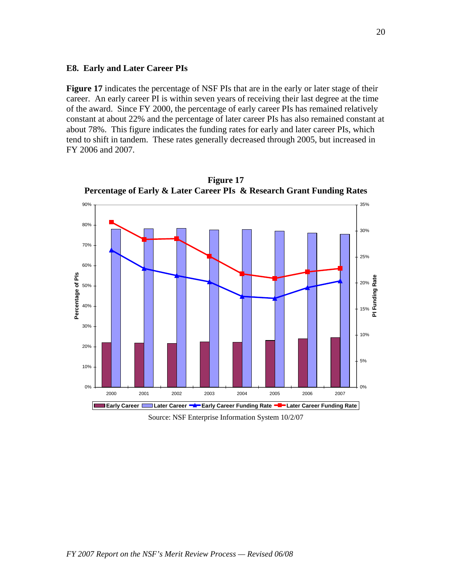#### **E8. Early and Later Career PIs**

**Figure 17** indicates the percentage of NSF PIs that are in the early or later stage of their career. An early career PI is within seven years of receiving their last degree at the time of the award. Since FY 2000, the percentage of early career PIs has remained relatively constant at about 22% and the percentage of later career PIs has also remained constant at about 78%. This figure indicates the funding rates for early and later career PIs, which tend to shift in tandem. These rates generally decreased through 2005, but increased in FY 2006 and 2007.



**Figure 17 Percentage of Early & Later Career PIs & Research Grant Funding Rates** 

Source: NSF Enterprise Information System 10/2/07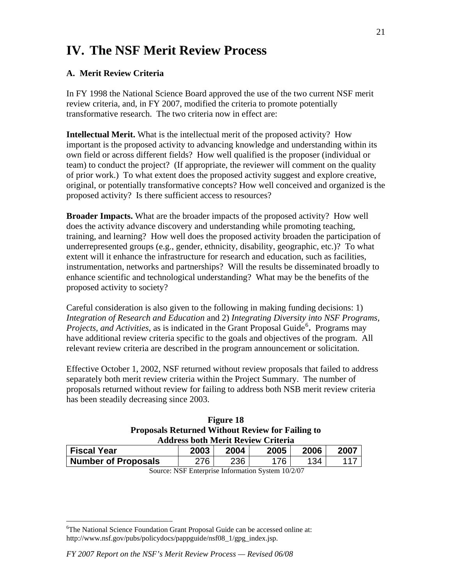# **IV. The NSF Merit Review Process**

# **A. Merit Review Criteria**

In FY 1998 the National Science Board approved the use of the two current NSF merit review criteria, and, in FY 2007, modified the criteria to promote potentially transformative research. The two criteria now in effect are:

**Intellectual Merit.** What is the intellectual merit of the proposed activity? How important is the proposed activity to advancing knowledge and understanding within its own field or across different fields? How well qualified is the proposer (individual or team) to conduct the project? (If appropriate, the reviewer will comment on the quality of prior work.) To what extent does the proposed activity suggest and explore creative, original, or potentially transformative concepts? How well conceived and organized is the proposed activity? Is there sufficient access to resources?

**Broader Impacts.** What are the broader impacts of the proposed activity? How well does the activity advance discovery and understanding while promoting teaching, training, and learning? How well does the proposed activity broaden the participation of underrepresented groups (e.g., gender, ethnicity, disability, geographic, etc.)? To what extent will it enhance the infrastructure for research and education, such as facilities, instrumentation, networks and partnerships? Will the results be disseminated broadly to enhance scientific and technological understanding? What may be the benefits of the proposed activity to society?

Careful consideration is also given to the following in making funding decisions: 1) *Integration of Research and Education* and 2) *Integrating Diversity into NSF Programs,*  Projects, and Activities, as is indicated in the Grant Proposal Guide<sup>[6](#page-20-0)</sup>. Programs may have additional review criteria specific to the goals and objectives of the program. All relevant review criteria are described in the program announcement or solicitation.

Effective October 1, 2002, NSF returned without review proposals that failed to address separately both merit review criteria within the Project Summary. The number of proposals returned without review for failing to address both NSB merit review criteria has been steadily decreasing since 2003.

| <b>Figure 18</b>                                        |  |
|---------------------------------------------------------|--|
| <b>Proposals Returned Without Review for Failing to</b> |  |
| <b>Address both Merit Review Criteria</b>               |  |

| <b>Fiscal Year</b>         | 2003 | 2004 | 2005 | 2006 | 2007 |  |  |  |
|----------------------------|------|------|------|------|------|--|--|--|
| <b>Number of Proposals</b> | ን7ድ  | 236  | 76   | `34  |      |  |  |  |

Source: NSF Enterprise Information System 10/2/07

<span id="page-20-0"></span> $\overline{a}$ <sup>6</sup>The National Science Foundation Grant Proposal Guide can be accessed online at: http://www.nsf.gov/pubs/policydocs/pappguide/nsf08 1/gpg index.jsp.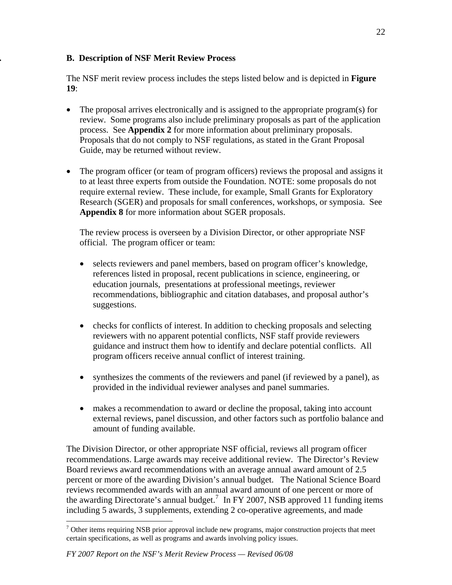# **. B. Description of NSF Merit Review Process**

The NSF merit review process includes the steps listed below and is depicted in **Figure 19**:

- The proposal arrives electronically and is assigned to the appropriate program(s) for review. Some programs also include preliminary proposals as part of the application process. See **Appendix 2** for more information about preliminary proposals. Proposals that do not comply to NSF regulations, as stated in the Grant Proposal Guide, may be returned without review.
- The program officer (or team of program officers) reviews the proposal and assigns it to at least three experts from outside the Foundation. NOTE: some proposals do not require external review. These include, for example, Small Grants for Exploratory Research (SGER) and proposals for small conferences, workshops, or symposia. See **Appendix 8** for more information about SGER proposals.

 The review process is overseen by a Division Director, or other appropriate NSF official. The program officer or team:

- selects reviewers and panel members, based on program officer's knowledge, references listed in proposal, recent publications in science, engineering, or education journals, presentations at professional meetings, reviewer recommendations, bibliographic and citation databases, and proposal author's suggestions.
- checks for conflicts of interest. In addition to checking proposals and selecting reviewers with no apparent potential conflicts, NSF staff provide reviewers guidance and instruct them how to identify and declare potential conflicts. All program officers receive annual conflict of interest training.
- synthesizes the comments of the reviewers and panel (if reviewed by a panel), as provided in the individual reviewer analyses and panel summaries.
- makes a recommendation to award or decline the proposal, taking into account external reviews, panel discussion, and other factors such as portfolio balance and amount of funding available.

The Division Director, or other appropriate NSF official, reviews all program officer recommendations. Large awards may receive additional review. The Director's Review Board reviews award recommendations with an average annual award amount of 2.5 percent or more of the awarding Division's annual budget. The National Science Board reviews recommended awards with an annual award amount of one percent or more of the awarding Directorate's annual budget.<sup>[7](#page-21-0)</sup> In FY 2007, NSB approved 11 funding items including 5 awards, 3 supplements, extending 2 co-operative agreements, and made

 $\overline{a}$ 

<span id="page-21-0"></span> $<sup>7</sup>$  Other items requiring NSB prior approval include new programs, major construction projects that meet</sup> certain specifications, as well as programs and awards involving policy issues.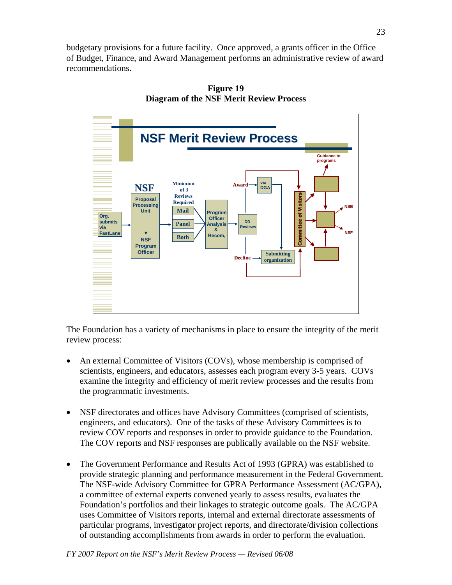budgetary provisions for a future facility. Once approved, a grants officer in the Office of Budget, Finance, and Award Management performs an administrative review of award recommendations.



**Figure 19 Diagram of the NSF Merit Review Process** 

The Foundation has a variety of mechanisms in place to ensure the integrity of the merit review process:

- An external Committee of Visitors (COVs), whose membership is comprised of scientists, engineers, and educators, assesses each program every 3-5 years. COVs examine the integrity and efficiency of merit review processes and the results from the programmatic investments.
- NSF directorates and offices have Advisory Committees (comprised of scientists, engineers, and educators). One of the tasks of these Advisory Committees is to review COV reports and responses in order to provide guidance to the Foundation. The COV reports and NSF responses are publically available on the NSF website.
- The Government Performance and Results Act of 1993 (GPRA) was established to provide strategic planning and performance measurement in the Federal Government. The NSF-wide Advisory Committee for GPRA Performance Assessment (AC/GPA), a committee of external experts convened yearly to assess results, evaluates the Foundation's portfolios and their linkages to strategic outcome goals. The AC/GPA uses Committee of Visitors reports, internal and external directorate assessments of particular programs, investigator project reports, and directorate/division collections of outstanding accomplishments from awards in order to perform the evaluation.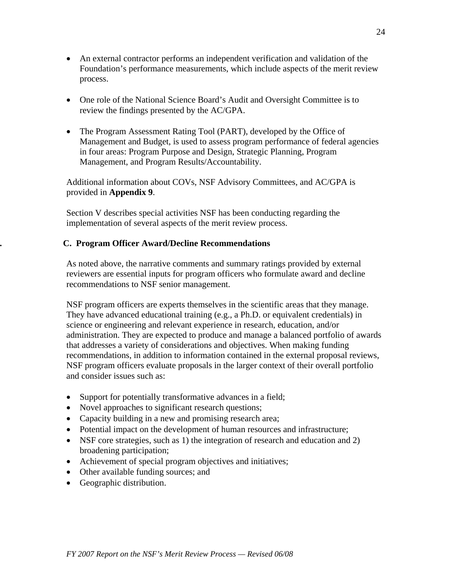- An external contractor performs an independent verification and validation of the Foundation's performance measurements, which include aspects of the merit review process.
- One role of the National Science Board's Audit and Oversight Committee is to review the findings presented by the AC/GPA.
- The Program Assessment Rating Tool (PART), developed by the Office of Management and Budget, is used to assess program performance of federal agencies in four areas: Program Purpose and Design, Strategic Planning, Program Management, and Program Results/Accountability.

Additional information about COVs, NSF Advisory Committees, and AC/GPA is provided in **Appendix 9**.

Section V describes special activities NSF has been conducting regarding the implementation of several aspects of the merit review process.

# **. C. Program Officer Award/Decline Recommendations**

As noted above, the narrative comments and summary ratings provided by external reviewers are essential inputs for program officers who formulate award and decline recommendations to NSF senior management.

NSF program officers are experts themselves in the scientific areas that they manage. They have advanced educational training (e.g., a Ph.D. or equivalent credentials) in science or engineering and relevant experience in research, education, and/or administration. They are expected to produce and manage a balanced portfolio of awards that addresses a variety of considerations and objectives. When making funding recommendations, in addition to information contained in the external proposal reviews, NSF program officers evaluate proposals in the larger context of their overall portfolio and consider issues such as:

- Support for potentially transformative advances in a field;
- Novel approaches to significant research questions;
- Capacity building in a new and promising research area;
- Potential impact on the development of human resources and infrastructure;
- NSF core strategies, such as 1) the integration of research and education and 2) broadening participation;
- Achievement of special program objectives and initiatives;
- Other available funding sources; and
- Geographic distribution.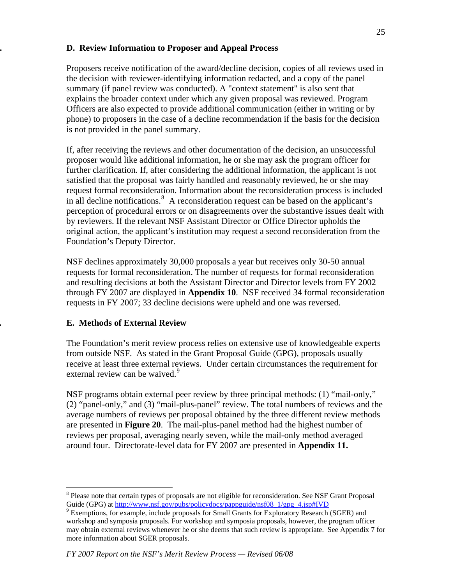# **. D. Review Information to Proposer and Appeal Process**

Proposers receive notification of the award/decline decision, copies of all reviews used in the decision with reviewer-identifying information redacted, and a copy of the panel summary (if panel review was conducted). A "context statement" is also sent that explains the broader context under which any given proposal was reviewed. Program Officers are also expected to provide additional communication (either in writing or by phone) to proposers in the case of a decline recommendation if the basis for the decision is not provided in the panel summary.

If, after receiving the reviews and other documentation of the decision, an unsuccessful proposer would like additional information, he or she may ask the program officer for further clarification. If, after considering the additional information, the applicant is not satisfied that the proposal was fairly handled and reasonably reviewed, he or she may request formal reconsideration. Information about the reconsideration process is included in all decline notifications.  $\delta$  A reconsideration request can be based on the applicant's perception of procedural errors or on disagreements over the substantive issues dealt with by reviewers. If the relevant NSF Assistant Director or Office Director upholds the original action, the applicant's institution may request a second reconsideration from the Foundation's Deputy Director.

NSF declines approximately 30,000 proposals a year but receives only 30-50 annual requests for formal reconsideration. The number of requests for formal reconsideration and resulting decisions at both the Assistant Director and Director levels from FY 2002 through FY 2007 are displayed in **Appendix 10**. NSF received 34 formal reconsideration requests in FY 2007; 33 decline decisions were upheld and one was reversed.

# **. E. Methods of External Review**

The Foundation's merit review process relies on extensive use of knowledgeable experts from outside NSF. As stated in the Grant Proposal Guide (GPG), proposals usually receive at least three external reviews. Under certain circumstances the requirement for external review can be waived.<sup>[9](#page-24-1)</sup>

NSF programs obtain external peer review by three principal methods: (1) "mail-only," (2) "panel-only," and (3) "mail-plus-panel" review. The total numbers of reviews and the average numbers of reviews per proposal obtained by the three different review methods are presented in **Figure 20**. The mail-plus-panel method had the highest number of reviews per proposal, averaging nearly seven, while the mail-only method averaged around four. Directorate-level data for FY 2007 are presented in **Appendix 11.** 

<span id="page-24-0"></span> $\overline{a}$ <sup>8</sup> Please note that certain types of proposals are not eligible for reconsideration. See NSF Grant Proposal Guide (GPG) at [http://www.nsf.gov/pubs/policydocs/pappguide/nsf08\\_1/gpg\\_4.jsp#IVD](http://www.nsf.gov/pubs/policydocs/pappguide/nsf08_1/gpg_4.jsp#IVD)

<span id="page-24-1"></span><sup>&</sup>lt;sup>9</sup> Exemptions, for example, include proposals for Small Grants for Exploratory Research (SGER) and workshop and symposia proposals. For workshop and symposia proposals, however, the program officer may obtain external reviews whenever he or she deems that such review is appropriate. See Appendix 7 for more information about SGER proposals.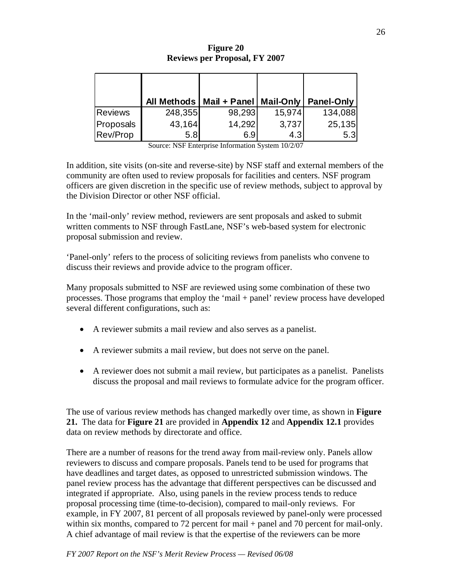|                |         | All Methods   Mail + Panel   Mail-Only |        | <b>Panel-Only</b> |
|----------------|---------|----------------------------------------|--------|-------------------|
| <b>Reviews</b> | 248,355 | 98,293                                 | 15,974 | 134,088           |
| Proposals      | 43,164  | 14,292                                 | 3,737  | 25,135            |
| Rev/Prop       | 5.8     | 6.9                                    | 4.3    | 5.3               |

**Figure 20 Reviews per Proposal, FY 2007** 

Source: NSF Enterprise Information System 10/2/07

In addition, site visits (on-site and reverse-site) by NSF staff and external members of the community are often used to review proposals for facilities and centers. NSF program officers are given discretion in the specific use of review methods, subject to approval by the Division Director or other NSF official.

In the 'mail-only' review method, reviewers are sent proposals and asked to submit written comments to NSF through FastLane, NSF's web-based system for electronic proposal submission and review.

'Panel-only' refers to the process of soliciting reviews from panelists who convene to discuss their reviews and provide advice to the program officer.

Many proposals submitted to NSF are reviewed using some combination of these two processes. Those programs that employ the 'mail + panel' review process have developed several different configurations, such as:

- A reviewer submits a mail review and also serves as a panelist.
- A reviewer submits a mail review, but does not serve on the panel.
- A reviewer does not submit a mail review, but participates as a panelist. Panelists discuss the proposal and mail reviews to formulate advice for the program officer.

The use of various review methods has changed markedly over time, as shown in **Figure 21.** The data for **Figure 21** are provided in **Appendix 12** and **Appendix 12.1** provides data on review methods by directorate and office.

There are a number of reasons for the trend away from mail-review only. Panels allow reviewers to discuss and compare proposals. Panels tend to be used for programs that have deadlines and target dates, as opposed to unrestricted submission windows. The panel review process has the advantage that different perspectives can be discussed and integrated if appropriate. Also, using panels in the review process tends to reduce proposal processing time (time-to-decision), compared to mail-only reviews. For example, in FY 2007, 81 percent of all proposals reviewed by panel-only were processed within six months, compared to 72 percent for mail + panel and 70 percent for mail-only. A chief advantage of mail review is that the expertise of the reviewers can be more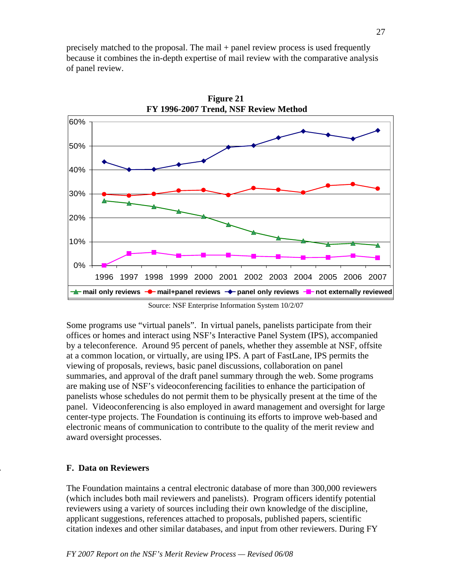precisely matched to the proposal. The mail + panel review process is used frequently because it combines the in-depth expertise of mail review with the comparative analysis of panel review.



**Figure 21** 

Source: NSF Enterprise Information System 10/2/07

Some programs use "virtual panels". In virtual panels, panelists participate from their offices or homes and interact using NSF's Interactive Panel System (IPS), accompanied by a teleconference. Around 95 percent of panels, whether they assemble at NSF, offsite at a common location, or virtually, are using IPS. A part of FastLane, IPS permits the viewing of proposals, reviews, basic panel discussions, collaboration on panel summaries, and approval of the draft panel summary through the web. Some programs are making use of NSF's videoconferencing facilities to enhance the participation of panelists whose schedules do not permit them to be physically present at the time of the panel. Videoconferencing is also employed in award management and oversight for large center-type projects. The Foundation is continuing its efforts to improve web-based and electronic means of communication to contribute to the quality of the merit review and award oversight processes.

# **. F. Data on Reviewers**

The Foundation maintains a central electronic database of more than 300,000 reviewers (which includes both mail reviewers and panelists). Program officers identify potential reviewers using a variety of sources including their own knowledge of the discipline, applicant suggestions, references attached to proposals, published papers, scientific citation indexes and other similar databases, and input from other reviewers. During FY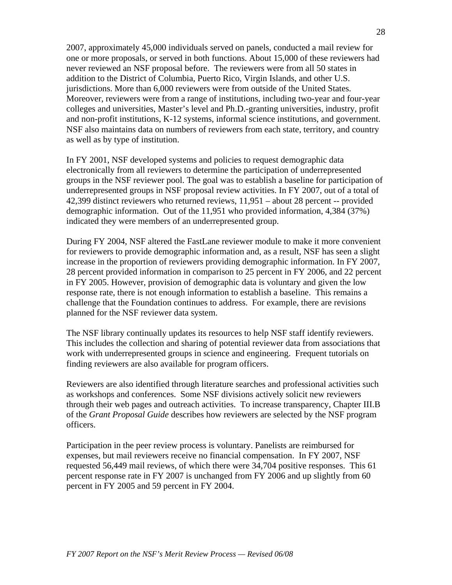2007, approximately 45,000 individuals served on panels, conducted a mail review for one or more proposals, or served in both functions. About 15,000 of these reviewers had never reviewed an NSF proposal before. The reviewers were from all 50 states in addition to the District of Columbia, Puerto Rico, Virgin Islands, and other U.S. jurisdictions. More than 6,000 reviewers were from outside of the United States. Moreover, reviewers were from a range of institutions, including two-year and four-year colleges and universities, Master's level and Ph.D.-granting universities, industry, profit and non-profit institutions, K-12 systems, informal science institutions, and government. NSF also maintains data on numbers of reviewers from each state, territory, and country as well as by type of institution.

In FY 2001, NSF developed systems and policies to request demographic data electronically from all reviewers to determine the participation of underrepresented groups in the NSF reviewer pool. The goal was to establish a baseline for participation of underrepresented groups in NSF proposal review activities. In FY 2007, out of a total of 42,399 distinct reviewers who returned reviews, 11,951 – about 28 percent -- provided demographic information. Out of the 11,951 who provided information, 4,384 (37%) indicated they were members of an underrepresented group.

During FY 2004, NSF altered the FastLane reviewer module to make it more convenient for reviewers to provide demographic information and, as a result, NSF has seen a slight increase in the proportion of reviewers providing demographic information. In FY 2007, 28 percent provided information in comparison to 25 percent in FY 2006, and 22 percent in FY 2005. However, provision of demographic data is voluntary and given the low response rate, there is not enough information to establish a baseline. This remains a challenge that the Foundation continues to address. For example, there are revisions planned for the NSF reviewer data system.

The NSF library continually updates its resources to help NSF staff identify reviewers. This includes the collection and sharing of potential reviewer data from associations that work with underrepresented groups in science and engineering. Frequent tutorials on finding reviewers are also available for program officers.

Reviewers are also identified through literature searches and professional activities such as workshops and conferences. Some NSF divisions actively solicit new reviewers through their web pages and outreach activities. To increase transparency, Chapter III.B of the *Grant Proposal Guide* describes how reviewers are selected by the NSF program officers.

Participation in the peer review process is voluntary. Panelists are reimbursed for expenses, but mail reviewers receive no financial compensation. In FY 2007, NSF requested 56,449 mail reviews, of which there were 34,704 positive responses. This 61 percent response rate in FY 2007 is unchanged from FY 2006 and up slightly from 60 percent in FY 2005 and 59 percent in FY 2004.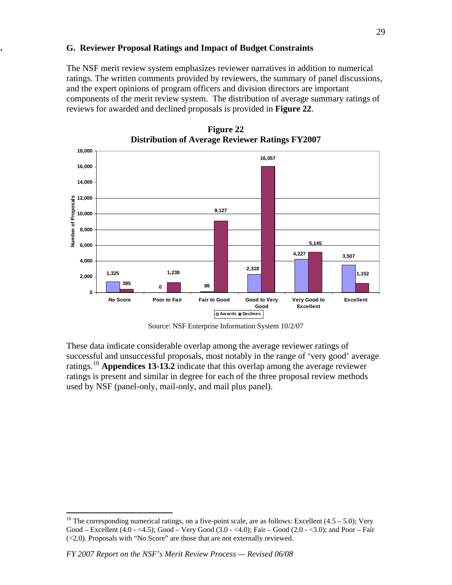### **G. G. Reviewer Proposal Ratings and Impact of Budget Constraints**

The NSF merit review system emphasizes reviewer narratives in addition to numerical ratings. The written comments provided by reviewers, the summary of panel discussions, and the expert opinions of program officers and division directors are important components of the merit review system. The distribution of average summary ratings of reviews for awarded and declined proposals is provided in **Figure 22**.



**Figure 22 Distribution of Average Reviewer Ratings FY2007**

These data indicate considerable overlap among the average reviewer ratings of successful and unsuccessful proposals, most notably in the range of 'very good' average ratings.[10](#page-28-0) **Appendices 13-13.2** indicate that this overlap among the average reviewer ratings is present and similar in degree for each of the three proposal review methods used by NSF (panel-only, mail-only, and mail plus panel).

 $\overline{a}$ 

Source: NSF Enterprise Information System 10/2/07

<span id="page-28-0"></span><sup>&</sup>lt;sup>10</sup> The corresponding numerical ratings, on a five-point scale, are as follows: Excellent  $(4.5 - 5.0)$ ; Very Good – Excellent (4.0 - <4.5); Good – Very Good (3.0 - <4.0); Fair – Good (2.0 - <3.0); and Poor – Fair (<2.0). Proposals with "No Score" are those that are not externally reviewed.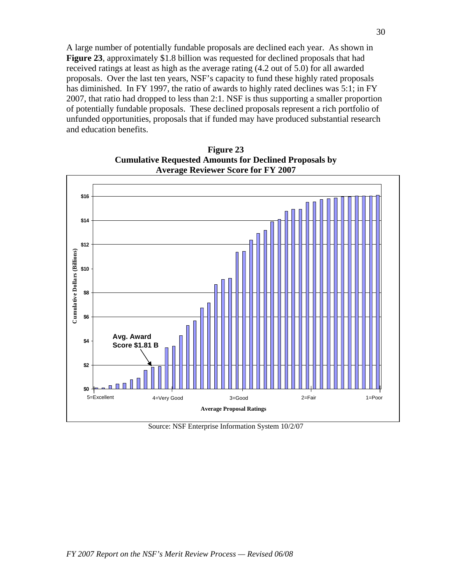A large number of potentially fundable proposals are declined each year. As shown in **Figure 23**, approximately \$1.8 billion was requested for declined proposals that had received ratings at least as high as the average rating (4.2 out of 5.0) for all awarded proposals. Over the last ten years, NSF's capacity to fund these highly rated proposals has diminished. In FY 1997, the ratio of awards to highly rated declines was 5:1; in FY 2007, that ratio had dropped to less than 2:1. NSF is thus supporting a smaller proportion of potentially fundable proposals. These declined proposals represent a rich portfolio of unfunded opportunities, proposals that if funded may have produced substantial research and education benefits.

**Figure 23 Cumulative Requested Amounts for Declined Proposals by Average Reviewer Score for FY 2007** 



Source: NSF Enterprise Information System 10/2/07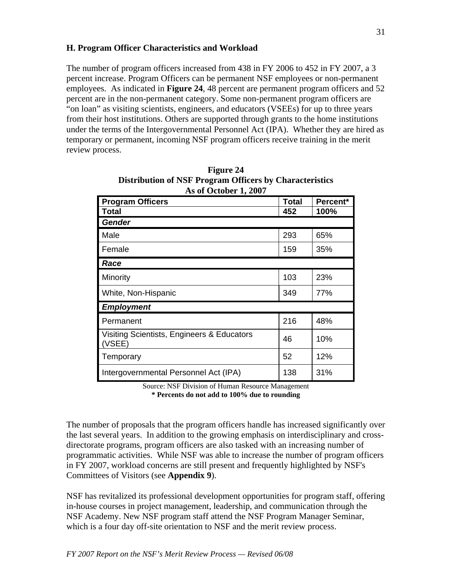The number of program officers increased from 438 in FY 2006 to 452 in FY 2007, a 3 percent increase. Program Officers can be permanent NSF employees or non-permanent employees. As indicated in **Figure 24**, 48 percent are permanent program officers and 52 percent are in the non-permanent category. Some non-permanent program officers are "on loan" as visiting scientists, engineers, and educators (VSEEs) for up to three years from their host institutions. Others are supported through grants to the home institutions under the terms of the Intergovernmental Personnel Act (IPA). Whether they are hired as temporary or permanent, incoming NSF program officers receive training in the merit review process.

| <b>Program Officers</b>                              | Total | Percent* |
|------------------------------------------------------|-------|----------|
| <b>Total</b>                                         | 452   | 100%     |
| <b>Gender</b>                                        |       |          |
| Male                                                 | 293   | 65%      |
| Female                                               | 159   | 35%      |
| Race                                                 |       |          |
| Minority                                             | 103   | 23%      |
| White, Non-Hispanic                                  | 349   | 77%      |
| <b>Employment</b>                                    |       |          |
| Permanent                                            | 216   | 48%      |
| Visiting Scientists, Engineers & Educators<br>(VSEE) | 46    | 10%      |
| Temporary                                            | 52    | 12%      |
| Intergovernmental Personnel Act (IPA)                | 138   | 31%      |

| <b>Figure 24</b>                                               |
|----------------------------------------------------------------|
| <b>Distribution of NSF Program Officers by Characteristics</b> |
| As of October 1, 2007                                          |

Source: NSF Division of Human Resource Management **\* Percents do not add to 100% due to rounding**

The number of proposals that the program officers handle has increased significantly over the last several years. In addition to the growing emphasis on interdisciplinary and crossdirectorate programs, program officers are also tasked with an increasing number of programmatic activities. While NSF was able to increase the number of program officers in FY 2007, workload concerns are still present and frequently highlighted by NSF's Committees of Visitors (see **Appendix 9**).

NSF has revitalized its professional development opportunities for program staff, offering in-house courses in project management, leadership, and communication through the NSF Academy. New NSF program staff attend the NSF Program Manager Seminar, which is a four day off-site orientation to NSF and the merit review process.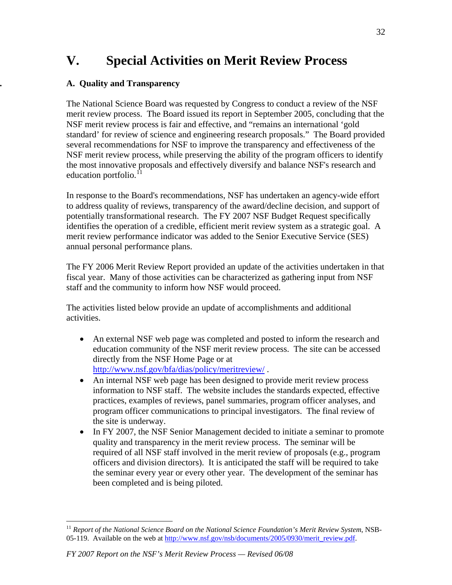# **V. Special Activities on Merit Review Process**

# **. A. Quality and Transparency**

The National Science Board was requested by Congress to conduct a review of the NSF merit review process. The Board issued its report in September 2005, concluding that the NSF merit review process is fair and effective, and "remains an international 'gold standard' for review of science and engineering research proposals." The Board provided several recommendations for NSF to improve the transparency and effectiveness of the NSF merit review process, while preserving the ability of the program officers to identify the most innovative proposals and effectively diversify and balance NSF's research and education portfolio.<sup>[11](#page-31-0)</sup>

In response to the Board's recommendations, NSF has undertaken an agency-wide effort to address quality of reviews, transparency of the award/decline decision, and support of potentially transformational research. The FY 2007 NSF Budget Request specifically identifies the operation of a credible, efficient merit review system as a strategic goal. A merit review performance indicator was added to the Senior Executive Service (SES) annual personal performance plans.

The FY 2006 Merit Review Report provided an update of the activities undertaken in that fiscal year. Many of those activities can be characterized as gathering input from NSF staff and the community to inform how NSF would proceed.

The activities listed below provide an update of accomplishments and additional activities.

- An external NSF web page was completed and posted to inform the research and education community of the NSF merit review process. The site can be accessed directly from the NSF Home Page or at <http://www.nsf.gov/bfa/dias/policy/meritreview/>.
- An internal NSF web page has been designed to provide merit review process information to NSF staff. The website includes the standards expected, effective practices, examples of reviews, panel summaries, program officer analyses, and program officer communications to principal investigators. The final review of the site is underway.
- In FY 2007, the NSF Senior Management decided to initiate a seminar to promote quality and transparency in the merit review process. The seminar will be required of all NSF staff involved in the merit review of proposals (e.g., program officers and division directors). It is anticipated the staff will be required to take the seminar every year or every other year. The development of the seminar has been completed and is being piloted.

 $\overline{a}$ 

<span id="page-31-0"></span><sup>11</sup> *Report of the National Science Board on the National Science Foundation's Merit Review System*, NSB05-119. Available on the web at [http://www.nsf.gov/nsb/documents/2005/0930/merit\\_review.pdf](http://www.nsf.gov/nsb/documents/2005/0930/merit_review.pdf).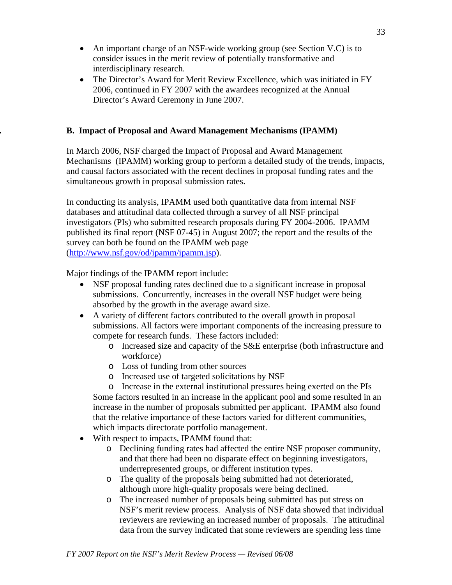- An important charge of an NSF-wide working group (see Section V.C) is to consider issues in the merit review of potentially transformative and interdisciplinary research.
- The Director's Award for Merit Review Excellence, which was initiated in FY 2006, continued in FY 2007 with the awardees recognized at the Annual Director's Award Ceremony in June 2007.

# **. B. Impact of Proposal and Award Management Mechanisms (IPAMM)**

In March 2006, NSF charged the Impact of Proposal and Award Management Mechanisms (IPAMM) working group to perform a detailed study of the trends, impacts, and causal factors associated with the recent declines in proposal funding rates and the simultaneous growth in proposal submission rates.

In conducting its analysis, IPAMM used both quantitative data from internal NSF databases and attitudinal data collected through a survey of all NSF principal investigators (PIs) who submitted research proposals during FY 2004-2006. IPAMM published its final report (NSF 07-45) in August 2007; the report and the results of the survey can both be found on the IPAMM web page ([http://www.nsf.gov/od/ipamm/ipamm.jsp\)](http://www.nsf.gov/od/ipamm/ipamm.jsp).

Major findings of the IPAMM report include:

- NSF proposal funding rates declined due to a significant increase in proposal submissions. Concurrently, increases in the overall NSF budget were being absorbed by the growth in the average award size.
- A variety of different factors contributed to the overall growth in proposal submissions. All factors were important components of the increasing pressure to compete for research funds. These factors included:
	- o Increased size and capacity of the S&E enterprise (both infrastructure and workforce)
	- o Loss of funding from other sources
	- o Increased use of targeted solicitations by NSF
	- o Increase in the external institutional pressures being exerted on the PIs

Some factors resulted in an increase in the applicant pool and some resulted in an increase in the number of proposals submitted per applicant. IPAMM also found that the relative importance of these factors varied for different communities, which impacts directorate portfolio management.

- With respect to impacts, IPAMM found that:
	- o Declining funding rates had affected the entire NSF proposer community, and that there had been no disparate effect on beginning investigators, underrepresented groups, or different institution types.
	- o The quality of the proposals being submitted had not deteriorated, although more high-quality proposals were being declined.
	- o The increased number of proposals being submitted has put stress on NSF's merit review process. Analysis of NSF data showed that individual reviewers are reviewing an increased number of proposals. The attitudinal data from the survey indicated that some reviewers are spending less time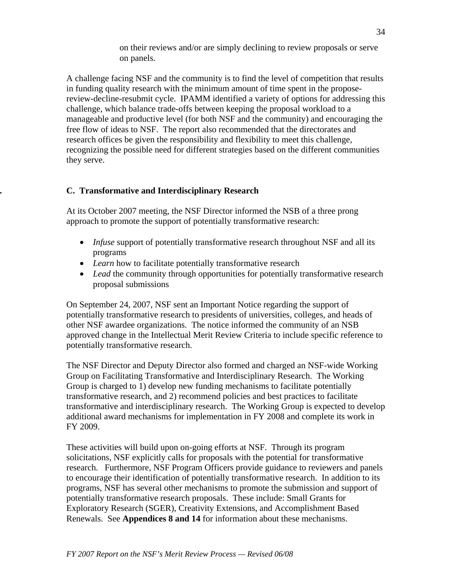on their reviews and/or are simply declining to review proposals or serve on panels.

A challenge facing NSF and the community is to find the level of competition that results in funding quality research with the minimum amount of time spent in the proposereview-decline-resubmit cycle. IPAMM identified a variety of options for addressing this challenge, which balance trade-offs between keeping the proposal workload to a manageable and productive level (for both NSF and the community) and encouraging the free flow of ideas to NSF. The report also recommended that the directorates and research offices be given the responsibility and flexibility to meet this challenge, recognizing the possible need for different strategies based on the different communities they serve.

# **. C. Transformative and Interdisciplinary Research**

At its October 2007 meeting, the NSF Director informed the NSB of a three prong approach to promote the support of potentially transformative research:

- *Infuse* support of potentially transformative research throughout NSF and all its programs
- *Learn* how to facilitate potentially transformative research
- *Lead* the community through opportunities for potentially transformative research proposal submissions

On September 24, 2007, NSF sent an Important Notice regarding the support of potentially transformative research to presidents of universities, colleges, and heads of other NSF awardee organizations. The notice informed the community of an NSB approved change in the Intellectual Merit Review Criteria to include specific reference to potentially transformative research.

The NSF Director and Deputy Director also formed and charged an NSF-wide Working Group on Facilitating Transformative and Interdisciplinary Research. The Working Group is charged to 1) develop new funding mechanisms to facilitate potentially transformative research, and 2) recommend policies and best practices to facilitate transformative and interdisciplinary research. The Working Group is expected to develop additional award mechanisms for implementation in FY 2008 and complete its work in FY 2009.

These activities will build upon on-going efforts at NSF. Through its program solicitations, NSF explicitly calls for proposals with the potential for transformative research. Furthermore, NSF Program Officers provide guidance to reviewers and panels to encourage their identification of potentially transformative research. In addition to its programs, NSF has several other mechanisms to promote the submission and support of potentially transformative research proposals. These include: Small Grants for Exploratory Research (SGER), Creativity Extensions, and Accomplishment Based Renewals. See **Appendices 8 and 14** for information about these mechanisms.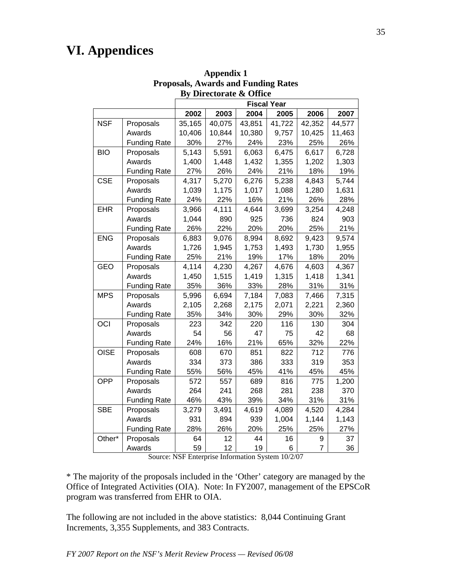# **VI. Appendices**

|             |                     |        |        | <b>Fiscal Year</b> |        |                |        |
|-------------|---------------------|--------|--------|--------------------|--------|----------------|--------|
|             |                     | 2002   | 2003   | 2004               | 2005   | 2006           | 2007   |
| <b>NSF</b>  | Proposals           | 35,165 | 40,075 | 43,851             | 41,722 | 42,352         | 44,577 |
|             | Awards              | 10,406 | 10,844 | 10,380             | 9,757  | 10,425         | 11,463 |
|             | <b>Funding Rate</b> | 30%    | 27%    | 24%                | 23%    | 25%            | 26%    |
| <b>BIO</b>  | Proposals           | 5,143  | 5,591  | 6,063              | 6,475  | 6,617          | 6,728  |
|             | Awards              | 1,400  | 1,448  | 1,432              | 1,355  | 1,202          | 1,303  |
|             | <b>Funding Rate</b> | 27%    | 26%    | 24%                | 21%    | 18%            | 19%    |
| <b>CSE</b>  | Proposals           | 4,317  | 5,270  | 6,276              | 5,238  | 4,843          | 5,744  |
|             | Awards              | 1,039  | 1,175  | 1,017              | 1,088  | 1,280          | 1,631  |
|             | <b>Funding Rate</b> | 24%    | 22%    | 16%                | 21%    | 26%            | 28%    |
| <b>EHR</b>  | Proposals           | 3,966  | 4,111  | 4,644              | 3,699  | 3,254          | 4,248  |
|             | Awards              | 1,044  | 890    | 925                | 736    | 824            | 903    |
|             | <b>Funding Rate</b> | 26%    | 22%    | 20%                | 20%    | 25%            | 21%    |
| <b>ENG</b>  | Proposals           | 6,883  | 9,076  | 8,994              | 8,692  | 9,423          | 9,574  |
|             | Awards              | 1,726  | 1,945  | 1,753              | 1,493  | 1,730          | 1,955  |
|             | <b>Funding Rate</b> | 25%    | 21%    | 19%                | 17%    | 18%            | 20%    |
| <b>GEO</b>  | Proposals           | 4,114  | 4,230  | 4,267              | 4,676  | 4,603          | 4,367  |
|             | Awards              | 1,450  | 1,515  | 1,419              | 1,315  | 1,418          | 1,341  |
|             | <b>Funding Rate</b> | 35%    | 36%    | 33%                | 28%    | 31%            | 31%    |
| <b>MPS</b>  | Proposals           | 5,996  | 6,694  | 7,184              | 7,083  | 7,466          | 7,315  |
|             | Awards              | 2,105  | 2,268  | 2,175              | 2,071  | 2,221          | 2,360  |
|             | <b>Funding Rate</b> | 35%    | 34%    | 30%                | 29%    | 30%            | 32%    |
| OCI         | Proposals           | 223    | 342    | 220                | 116    | 130            | 304    |
|             | Awards              | 54     | 56     | 47                 | 75     | 42             | 68     |
|             | <b>Funding Rate</b> | 24%    | 16%    | 21%                | 65%    | 32%            | 22%    |
| <b>OISE</b> | Proposals           | 608    | 670    | 851                | 822    | 712            | 776    |
|             | Awards              | 334    | 373    | 386                | 333    | 319            | 353    |
|             | <b>Funding Rate</b> | 55%    | 56%    | 45%                | 41%    | 45%            | 45%    |
| <b>OPP</b>  | Proposals           | 572    | 557    | 689                | 816    | 775            | 1,200  |
|             | Awards              | 264    | 241    | 268                | 281    | 238            | 370    |
|             | <b>Funding Rate</b> | 46%    | 43%    | 39%                | 34%    | 31%            | 31%    |
| <b>SBE</b>  | Proposals           | 3,279  | 3,491  | 4,619              | 4,089  | 4,520          | 4,284  |
|             | Awards              | 931    | 894    | 939                | 1,004  | 1,144          | 1,143  |
|             | <b>Funding Rate</b> | 28%    | 26%    | 20%                | 25%    | 25%            | 27%    |
| Other*      | Proposals           | 64     | 12     | 44                 | 16     | 9              | 37     |
|             | Awards              | 59     | 12     | 19                 | 6      | $\overline{7}$ | 36     |

**Appendix 1 Proposals, Awards and Funding Rates By Directorate & Office** 

Source: NSF Enterprise Information System 10/2/07

\* The majority of the proposals included in the 'Other' category are managed by the Office of Integrated Activities (OIA). Note: In FY2007, management of the EPSCoR program was transferred from EHR to OIA.

The following are not included in the above statistics: 8,044 Continuing Grant Increments, 3,355 Supplements, and 383 Contracts.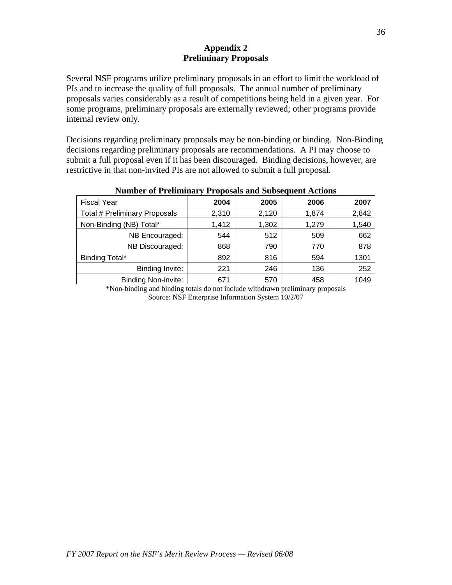### **Appendix 2 Preliminary Proposals**

Several NSF programs utilize preliminary proposals in an effort to limit the workload of PIs and to increase the quality of full proposals. The annual number of preliminary proposals varies considerably as a result of competitions being held in a given year. For some programs, preliminary proposals are externally reviewed; other programs provide internal review only.

Decisions regarding preliminary proposals may be non-binding or binding. Non-Binding decisions regarding preliminary proposals are recommendations. A PI may choose to submit a full proposal even if it has been discouraged. Binding decisions, however, are restrictive in that non-invited PIs are not allowed to submit a full proposal.

| <b>Fiscal Year</b>                   | 2004  | 2005  | 2006  | 2007  |  |  |
|--------------------------------------|-------|-------|-------|-------|--|--|
| <b>Total # Preliminary Proposals</b> | 2,310 | 2,120 | 1,874 | 2,842 |  |  |
| Non-Binding (NB) Total*              | 1,412 | 1,302 | 1,279 | 1,540 |  |  |
| NB Encouraged:                       | 544   | 512   | 509   | 662   |  |  |
| NB Discouraged:                      | 868   | 790   | 770   | 878   |  |  |
| <b>Binding Total*</b>                | 892   | 816   | 594   | 1301  |  |  |
| Binding Invite:                      | 221   | 246   | 136   | 252   |  |  |
| <b>Binding Non-invite:</b>           | 671   | 570   | 458   | 1049  |  |  |
|                                      |       |       |       |       |  |  |

#### **Number of Preliminary Proposals and Subsequent Actions**

\*Non-binding and binding totals do not include withdrawn preliminary proposals Source: NSF Enterprise Information System 10/2/07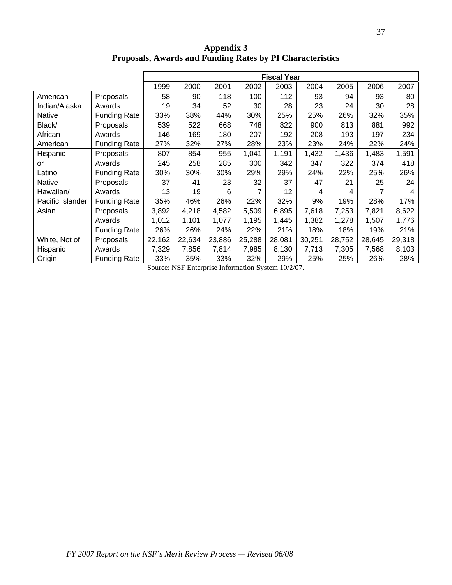**Appendix 3 Proposals, Awards and Funding Rates by PI Characteristics** 

|                  |                     |        | <b>Fiscal Year</b> |        |        |        |        |        |        |        |
|------------------|---------------------|--------|--------------------|--------|--------|--------|--------|--------|--------|--------|
|                  |                     | 1999   | 2000               | 2001   | 2002   | 2003   | 2004   | 2005   | 2006   | 2007   |
| American         | Proposals           | 58     | 90                 | 118    | 100    | 112    | 93     | 94     | 93     | 80     |
| Indian/Alaska    | Awards              | 19     | 34                 | 52     | 30     | 28     | 23     | 24     | 30     | 28     |
| <b>Native</b>    | <b>Funding Rate</b> | 33%    | 38%                | 44%    | 30%    | 25%    | 25%    | 26%    | 32%    | 35%    |
| Black/           | Proposals           | 539    | 522                | 668    | 748    | 822    | 900    | 813    | 881    | 992    |
| African          | Awards              | 146    | 169                | 180    | 207    | 192    | 208    | 193    | 197    | 234    |
| American         | <b>Funding Rate</b> | 27%    | 32%                | 27%    | 28%    | 23%    | 23%    | 24%    | 22%    | 24%    |
| Hispanic         | Proposals           | 807    | 854                | 955    | 1,041  | 1,191  | 1,432  | 1,436  | 1,483  | 1,591  |
| or               | Awards              | 245    | 258                | 285    | 300    | 342    | 347    | 322    | 374    | 418    |
| Latino           | <b>Funding Rate</b> | 30%    | 30%                | 30%    | 29%    | 29%    | 24%    | 22%    | 25%    | 26%    |
| <b>Native</b>    | Proposals           | 37     | 41                 | 23     | 32     | 37     | 47     | 21     | 25     | 24     |
| Hawaiian/        | Awards              | 13     | 19                 | 6      | 7      | 12     | 4      | 4      | 7      | 4      |
| Pacific Islander | <b>Funding Rate</b> | 35%    | 46%                | 26%    | 22%    | 32%    | 9%     | 19%    | 28%    | 17%    |
| Asian            | Proposals           | 3,892  | 4,218              | 4,582  | 5,509  | 6,895  | 7,618  | 7,253  | 7,821  | 8,622  |
|                  | Awards              | 1,012  | 1,101              | 1,077  | 1,195  | 1,445  | 1,382  | 1,278  | 1,507  | 1,776  |
|                  | <b>Funding Rate</b> | 26%    | 26%                | 24%    | 22%    | 21%    | 18%    | 18%    | 19%    | 21%    |
| White, Not of    | Proposals           | 22,162 | 22,634             | 23,886 | 25,288 | 28,081 | 30,251 | 28,752 | 28,645 | 29,318 |
| Hispanic         | Awards              | 7,329  | 7,856              | 7,814  | 7,985  | 8,130  | 7,713  | 7,305  | 7,568  | 8,103  |
| Origin           | <b>Funding Rate</b> | 33%    | 35%                | 33%    | 32%    | 29%    | 25%    | 25%    | 26%    | 28%    |

Source: NSF Enterprise Information System 10/2/07.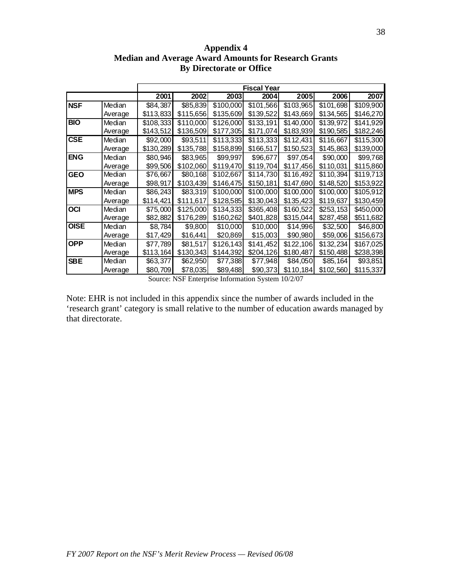|             |         |           |           |           | <b>Fiscal Year</b> |           |           |           |
|-------------|---------|-----------|-----------|-----------|--------------------|-----------|-----------|-----------|
|             |         | 2001      | 2002      | 2003      | 2004               | 2005      | 2006      | 2007      |
| <b>NSF</b>  | Median  | \$84,387  | \$85,839  | \$100,000 | \$101,566          | \$103,965 | \$101,698 | \$109,900 |
|             | Average | \$113,833 | \$115,656 | \$135,609 | \$139,522          | \$143,669 | \$134,565 | \$146,270 |
| <b>BIO</b>  | Median  | \$108,333 | \$110,000 | \$126,000 | \$133,191          | \$140,000 | \$139,972 | \$141,929 |
|             | Average | \$143,512 | \$136,509 | \$177,305 | \$171,074          | \$183,939 | \$190,585 | \$182,246 |
| <b>CSE</b>  | Median  | \$92,000  | \$93,511  | \$113,333 | \$113,333          | \$112,431 | \$116,667 | \$115,300 |
|             | Average | \$130,289 | \$135,788 | \$158,899 | \$166,517          | \$150,523 | \$145,863 | \$139,000 |
| <b>ENG</b>  | Median  | \$80,946  | \$83,965  | \$99,997  | \$96,677           | \$97,054  | \$90,000  | \$99,768  |
|             | Average | \$99,506  | \$102,060 | \$119,470 | \$119,704          | \$117,456 | \$110,031 | \$115,860 |
| <b>GEO</b>  | Median  | \$76,667  | \$80,168  | \$102,667 | \$114,730          | \$116,492 | \$110,394 | \$119,713 |
|             | Average | \$98,917  | \$103,439 | \$146,475 | \$150,181          | \$147,690 | \$148,520 | \$153,922 |
| <b>MPS</b>  | Median  | \$86,243  | \$83,319  | \$100,000 | \$100,000          | \$100,000 | \$100,000 | \$105,912 |
|             | Average | \$114,421 | \$111,617 | \$128,585 | \$130,043          | \$135,423 | \$119,637 | \$130,459 |
| <b>OCI</b>  | Median  | \$75,000  | \$125,000 | \$134,333 | \$365,408          | \$160,522 | \$253,153 | \$450,000 |
|             | Average | \$82,882  | \$176,289 | \$160,262 | \$401,828          | \$315,044 | \$287,458 | \$511,682 |
| <b>OISE</b> | Median  | \$8,784   | \$9,800   | \$10,000  | \$10,000           | \$14,996  | \$32,500  | \$46,800  |
|             | Average | \$17,429  | \$16,441  | \$20,869  | \$15,003           | \$90,980  | \$59,006  | \$156,673 |
| <b>OPP</b>  | Median  | \$77,789  | \$81,517  | \$126,143 | \$141,452          | \$122,106 | \$132,234 | \$167,025 |
|             | Average | \$113,164 | \$130,343 | \$144,392 | \$204,126          | \$180,487 | \$150,488 | \$238,398 |
| <b>SBE</b>  | Median  | \$63,377  | \$62,950  | \$77,388  | \$77,948           | \$84,050  | \$85,164  | \$93,851  |
|             | Average | \$80,709  | \$78,035  | \$89,488  | \$90,373           | \$110,184 | \$102,560 | \$115,337 |

**Appendix 4 Median and Average Award Amounts for Research Grants By Directorate or Office** 

Source: NSF Enterprise Information System 10/2/07

Note: EHR is not included in this appendix since the number of awards included in the 'research grant' category is small relative to the number of education awards managed by that directorate.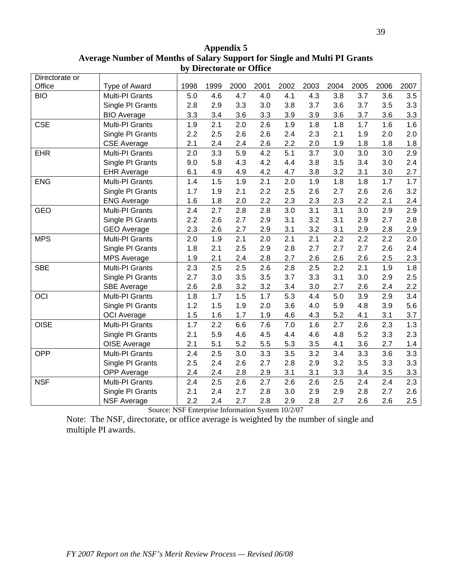| Directorate or |                    |      |      |      |      |      |      |      |      |      |      |
|----------------|--------------------|------|------|------|------|------|------|------|------|------|------|
| Office         | Type of Award      | 1998 | 1999 | 2000 | 2001 | 2002 | 2003 | 2004 | 2005 | 2006 | 2007 |
| <b>BIO</b>     | Multi-PI Grants    | 5.0  | 4.6  | 4.7  | 4.0  | 4.1  | 4.3  | 3.8  | 3.7  | 3.6  | 3.5  |
|                | Single PI Grants   | 2.8  | 2.9  | 3.3  | 3.0  | 3.8  | 3.7  | 3.6  | 3.7  | 3.5  | 3.3  |
|                | <b>BIO Average</b> | 3.3  | 3.4  | 3.6  | 3.3  | 3.9  | 3.9  | 3.6  | 3.7  | 3.6  | 3.3  |
| <b>CSE</b>     | Multi-PI Grants    | 1.9  | 2.1  | 2.0  | 2.6  | 1.9  | 1.8  | 1.8  | 1.7  | 1.6  | 1.6  |
|                | Single PI Grants   | 2.2  | 2.5  | 2.6  | 2.6  | 2.4  | 2.3  | 2.1  | 1.9  | 2.0  | 2.0  |
|                | <b>CSE Average</b> | 2.1  | 2.4  | 2.4  | 2.6  | 2.2  | 2.0  | 1.9  | 1.8  | 1.8  | 1.8  |
| <b>EHR</b>     | Multi-PI Grants    | 2.0  | 3.3  | 5.9  | 4.2  | 5.1  | 3.7  | 3.0  | 3.0  | 3.0  | 2.9  |
|                | Single PI Grants   | 9.0  | 5.8  | 4.3  | 4.2  | 4.4  | 3.8  | 3.5  | 3.4  | 3.0  | 2.4  |
|                | <b>EHR Average</b> | 6.1  | 4.9  | 4.9  | 4.2  | 4.7  | 3.8  | 3.2  | 3.1  | 3.0  | 2.7  |
| <b>ENG</b>     | Multi-PI Grants    | 1.4  | 1.5  | 1.9  | 2.1  | 2.0  | 1.9  | 1.8  | 1.8  | 1.7  | 1.7  |
|                | Single PI Grants   | 1.7  | 1.9  | 2.1  | 2.2  | 2.5  | 2.6  | 2.7  | 2.6  | 2.6  | 3.2  |
|                | <b>ENG Average</b> | 1.6  | 1.8  | 2.0  | 2.2  | 2.3  | 2.3  | 2.3  | 2.2  | 2.1  | 2.4  |
| <b>GEO</b>     | Multi-PI Grants    | 2.4  | 2.7  | 2.8  | 2.8  | 3.0  | 3.1  | 3.1  | 3.0  | 2.9  | 2.9  |
|                | Single PI Grants   | 2.2  | 2.6  | 2.7  | 2.9  | 3.1  | 3.2  | 3.1  | 2.9  | 2.7  | 2.8  |
|                | <b>GEO Average</b> | 2.3  | 2.6  | 2.7  | 2.9  | 3.1  | 3.2  | 3.1  | 2.9  | 2.8  | 2.9  |
| <b>MPS</b>     | Multi-PI Grants    | 2.0  | 1.9  | 2.1  | 2.0  | 2.1  | 2.1  | 2.2  | 2.2  | 2.2  | 2.0  |
|                | Single PI Grants   | 1.8  | 2.1  | 2.5  | 2.9  | 2.8  | 2.7  | 2.7  | 2.7  | 2.6  | 2.4  |
|                | <b>MPS Average</b> | 1.9  | 2.1  | 2.4  | 2.8  | 2.7  | 2.6  | 2.6  | 2.6  | 2.5  | 2.3  |
| <b>SBE</b>     | Multi-PI Grants    | 2.3  | 2.5  | 2.5  | 2.6  | 2.8  | 2.5  | 2.2  | 2.1  | 1.9  | 1.8  |
|                | Single PI Grants   | 2.7  | 3.0  | 3.5  | 3.5  | 3.7  | 3.3  | 3.1  | 3.0  | 2.9  | 2.5  |
|                | <b>SBE Average</b> | 2.6  | 2.8  | 3.2  | 3.2  | 3.4  | 3.0  | 2.7  | 2.6  | 2.4  | 2.2  |
| OCI            | Multi-PI Grants    | 1.8  | 1.7  | 1.5  | 1.7  | 5.3  | 4.4  | 5.0  | 3.9  | 2.9  | 3.4  |
|                | Single PI Grants   | 1.2  | 1.5  | 1.9  | 2.0  | 3.6  | 4.0  | 5.9  | 4.8  | 3.9  | 5.6  |
|                | <b>OCI</b> Average | 1.5  | 1.6  | 1.7  | 1.9  | 4.6  | 4.3  | 5.2  | 4.1  | 3.1  | 3.7  |
| <b>OISE</b>    | Multi-PI Grants    | 1.7  | 2.2  | 6.6  | 7.6  | 7.0  | 1.6  | 2.7  | 2.6  | 2.3  | 1.3  |
|                | Single PI Grants   | 2.1  | 5.9  | 4.6  | 4.5  | 4.4  | 4.6  | 4.8  | 5.2  | 3.3  | 2.3  |
|                | OISE Average       | 2.1  | 5.1  | 5.2  | 5.5  | 5.3  | 3.5  | 4.1  | 3.6  | 2.7  | 1.4  |
| <b>OPP</b>     | Multi-PI Grants    | 2.4  | 2.5  | 3.0  | 3.3  | 3.5  | 3.2  | 3.4  | 3.3  | 3.6  | 3.3  |
|                | Single PI Grants   | 2.5  | 2.4  | 2.6  | 2.7  | 2.8  | 2.9  | 3.2  | 3.5  | 3.3  | 3.3  |
|                | OPP Average        | 2.4  | 2.4  | 2.8  | 2.9  | 3.1  | 3.1  | 3.3  | 3.4  | 3.5  | 3.3  |
| <b>NSF</b>     | Multi-PI Grants    | 2.4  | 2.5  | 2.6  | 2.7  | 2.6  | 2.6  | 2.5  | 2.4  | 2.4  | 2.3  |
|                | Single PI Grants   | 2.1  | 2.4  | 2.7  | 2.8  | 3.0  | 2.9  | 2.9  | 2.8  | 2.7  | 2.6  |
|                | <b>NSF Average</b> | 2.2  | 2.4  | 2.7  | 2.8  | 2.9  | 2.8  | 2.7  | 2.6  | 2.6  | 2.5  |

**Appendix 5 Average Number of Months of Salary Support for Single and Multi PI Grants by Directorate or Office** 

Source: NSF Enterprise Information System 10/2/07

Note: The NSF, directorate, or office average is weighted by the number of single and multiple PI awards.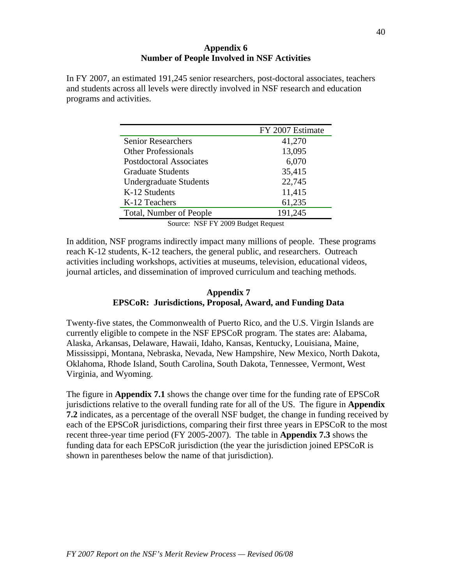#### **Appendix 6 Number of People Involved in NSF Activities**

In FY 2007, an estimated 191,245 senior researchers, post-doctoral associates, teachers and students across all levels were directly involved in NSF research and education programs and activities.

|                                | FY 2007 Estimate |
|--------------------------------|------------------|
| <b>Senior Researchers</b>      | 41,270           |
| <b>Other Professionals</b>     | 13,095           |
| <b>Postdoctoral Associates</b> | 6,070            |
| <b>Graduate Students</b>       | 35,415           |
| <b>Undergraduate Students</b>  | 22,745           |
| K-12 Students                  | 11,415           |
| K-12 Teachers                  | 61,235           |
| Total, Number of People        | 191,245          |

Source: NSF FY 2009 Budget Request

In addition, NSF programs indirectly impact many millions of people. These programs reach K-12 students, K-12 teachers, the general public, and researchers. Outreach activities including workshops, activities at museums, television, educational videos, journal articles, and dissemination of improved curriculum and teaching methods.

# **Appendix 7 EPSCoR: Jurisdictions, Proposal, Award, and Funding Data**

Twenty-five states, the Commonwealth of Puerto Rico, and the U.S. Virgin Islands are currently eligible to compete in the NSF EPSCoR program. The states are: Alabama, Alaska, Arkansas, Delaware, Hawaii, Idaho, Kansas, Kentucky, Louisiana, Maine, Mississippi, Montana, Nebraska, Nevada, New Hampshire, New Mexico, North Dakota, Oklahoma, Rhode Island, South Carolina, South Dakota, Tennessee, Vermont, West Virginia, and Wyoming.

The figure in **Appendix 7.1** shows the change over time for the funding rate of EPSCoR jurisdictions relative to the overall funding rate for all of the US. The figure in **Appendix 7.2** indicates, as a percentage of the overall NSF budget, the change in funding received by each of the EPSCoR jurisdictions, comparing their first three years in EPSCoR to the most recent three-year time period (FY 2005-2007). The table in **Appendix 7.3** shows the funding data for each EPSCoR jurisdiction (the year the jurisdiction joined EPSCoR is shown in parentheses below the name of that jurisdiction).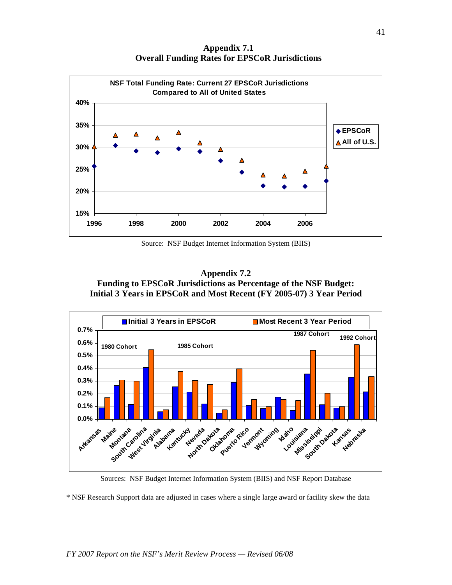**Appendix 7.1 Overall Funding Rates for EPSCoR Jurisdictions** 



Source: NSF Budget Internet Information System (BIIS)





Sources: NSF Budget Internet Information System (BIIS) and NSF Report Database

\* NSF Research Support data are adjusted in cases where a single large award or facility skew the data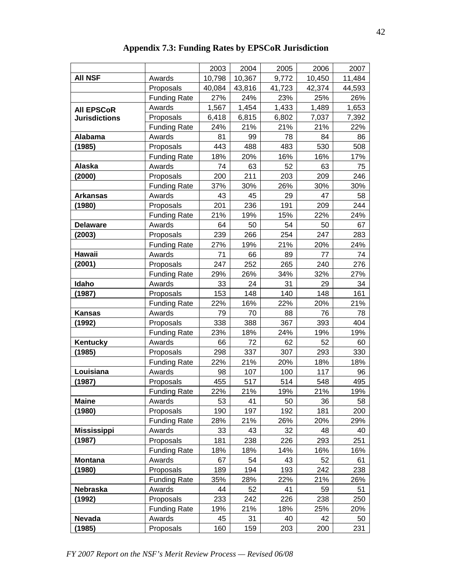|                      |                     | 2003   | 2004   | 2005   | 2006   | 2007   |
|----------------------|---------------------|--------|--------|--------|--------|--------|
| <b>AII NSF</b>       | Awards              | 10,798 | 10,367 | 9,772  | 10,450 | 11,484 |
|                      | Proposals           | 40,084 | 43,816 | 41,723 | 42,374 | 44,593 |
|                      | <b>Funding Rate</b> | 27%    | 24%    | 23%    | 25%    | 26%    |
| <b>AII EPSCoR</b>    | Awards              | 1,567  | 1,454  | 1,433  | 1,489  | 1,653  |
| <b>Jurisdictions</b> | Proposals           | 6,418  | 6,815  | 6,802  | 7,037  | 7,392  |
|                      | <b>Funding Rate</b> | 24%    | 21%    | 21%    | 21%    | 22%    |
| Alabama              | Awards              | 81     | 99     | 78     | 84     | 86     |
| (1985)               | Proposals           | 443    | 488    | 483    | 530    | 508    |
|                      | <b>Funding Rate</b> | 18%    | 20%    | 16%    | 16%    | 17%    |
| Alaska               | Awards              | 74     | 63     | 52     | 63     | 75     |
| (2000)               | Proposals           | 200    | 211    | 203    | 209    | 246    |
|                      | <b>Funding Rate</b> | 37%    | 30%    | 26%    | 30%    | 30%    |
| <b>Arkansas</b>      | Awards              | 43     | 45     | 29     | 47     | 58     |
| (1980)               | Proposals           | 201    | 236    | 191    | 209    | 244    |
|                      | <b>Funding Rate</b> | 21%    | 19%    | 15%    | 22%    | 24%    |
| <b>Delaware</b>      | Awards              | 64     | 50     | 54     | 50     | 67     |
| (2003)               | Proposals           | 239    | 266    | 254    | 247    | 283    |
|                      | <b>Funding Rate</b> | 27%    | 19%    | 21%    | 20%    | 24%    |
| Hawaii               | Awards              | 71     | 66     | 89     | 77     | 74     |
| (2001)               | Proposals           | 247    | 252    | 265    | 240    | 276    |
|                      | <b>Funding Rate</b> | 29%    | 26%    | 34%    | 32%    | 27%    |
| Idaho                | Awards              | 33     | 24     | 31     | 29     | 34     |
| (1987)               | Proposals           | 153    | 148    | 140    | 148    | 161    |
|                      | <b>Funding Rate</b> | 22%    | 16%    | 22%    | 20%    | 21%    |
| <b>Kansas</b>        | Awards              | 79     | 70     | 88     | 76     | 78     |
| (1992)               | Proposals           | 338    | 388    | 367    | 393    | 404    |
|                      | <b>Funding Rate</b> | 23%    | 18%    | 24%    | 19%    | 19%    |
| Kentucky             | Awards              | 66     | 72     | 62     | 52     | 60     |
| (1985)               | Proposals           | 298    | 337    | 307    | 293    | 330    |
|                      | <b>Funding Rate</b> | 22%    | 21%    | 20%    | 18%    | 18%    |
| Louisiana            | Awards              | 98     | 107    | 100    | 117    | 96     |
| (1987)               | Proposals           | 455    | 517    | 514    | 548    | 495    |
|                      | <b>Funding Rate</b> | 22%    | 21%    | 19%    | 21%    | 19%    |
| <b>Maine</b>         | Awards              | 53     | 41     | 50     | 36     | 58     |
| (1980)               | Proposals           | 190    | 197    | 192    | 181    | 200    |
|                      | <b>Funding Rate</b> | 28%    | 21%    | 26%    | 20%    | 29%    |
| <b>Mississippi</b>   | Awards              | 33     | 43     | 32     | 48     | 40     |
| (1987)               | Proposals           | 181    | 238    | 226    | 293    | 251    |
|                      | <b>Funding Rate</b> | 18%    | 18%    | 14%    | 16%    | 16%    |
| <b>Montana</b>       | Awards              | 67     | 54     | 43     | 52     | 61     |
| (1980)               | Proposals           | 189    | 194    | 193    | 242    | 238    |
|                      | <b>Funding Rate</b> | 35%    | 28%    | 22%    | 21%    | 26%    |
| Nebraska             | Awards              | 44     | 52     | 41     | 59     | 51     |
| (1992)               | Proposals           | 233    | 242    | 226    | 238    | 250    |
|                      | <b>Funding Rate</b> | 19%    | 21%    | 18%    | 25%    | 20%    |
| Nevada               | Awards              | 45     | 31     | 40     | 42     | 50     |
| (1985)               | Proposals           | 160    | 159    | 203    | 200    | 231    |
|                      |                     |        |        |        |        |        |

**Appendix 7.3: Funding Rates by EPSCoR Jurisdiction**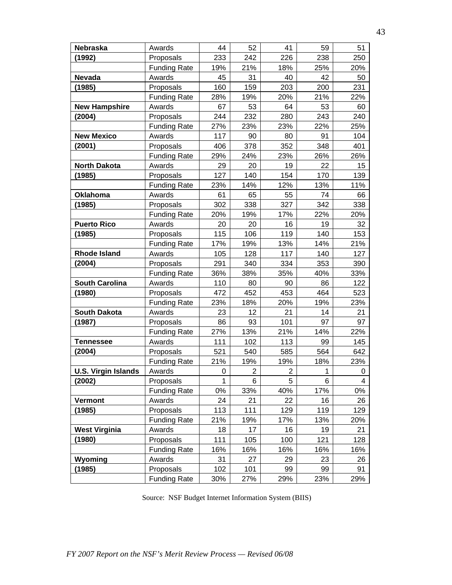| Nebraska                   | Awards              | 44           | 52             | 41             | 59  | 51  |
|----------------------------|---------------------|--------------|----------------|----------------|-----|-----|
| (1992)                     | Proposals           | 233          | 242            | 226            | 238 | 250 |
|                            | <b>Funding Rate</b> | 19%          | 21%            | 18%            | 25% | 20% |
| Nevada                     | Awards              | 45           | 31             | 40             | 42  | 50  |
| (1985)                     | Proposals           | 160          | 159            | 203            | 200 | 231 |
|                            | <b>Funding Rate</b> | 28%          | 19%            | 20%            | 21% | 22% |
| <b>New Hampshire</b>       | Awards              | 67           | 53             | 64             | 53  | 60  |
| (2004)                     | Proposals           | 244          | 232            | 280            | 243 | 240 |
|                            | <b>Funding Rate</b> | 27%          | 23%            | 23%            | 22% | 25% |
| <b>New Mexico</b>          | Awards              | 117          | 90             | 80             | 91  | 104 |
| (2001)                     | Proposals           | 406          | 378            | 352            | 348 | 401 |
|                            | <b>Funding Rate</b> | 29%          | 24%            | 23%            | 26% | 26% |
| <b>North Dakota</b>        | Awards              | 29           | 20             | 19             | 22  | 15  |
| (1985)                     | Proposals           | 127          | 140            | 154            | 170 | 139 |
|                            | <b>Funding Rate</b> | 23%          | 14%            | 12%            | 13% | 11% |
| <b>Oklahoma</b>            | Awards              | 61           | 65             | 55             | 74  | 66  |
| (1985)                     | Proposals           | 302          | 338            | 327            | 342 | 338 |
|                            | <b>Funding Rate</b> | 20%          | 19%            | 17%            | 22% | 20% |
| <b>Puerto Rico</b>         | Awards              | 20           | 20             | 16             | 19  | 32  |
| (1985)                     | Proposals           | 115          | 106            | 119            | 140 | 153 |
|                            | <b>Funding Rate</b> | 17%          | 19%            | 13%            | 14% | 21% |
| <b>Rhode Island</b>        | Awards              | 105          | 128            | 117            | 140 | 127 |
| (2004)                     | Proposals           | 291          | 340            | 334            | 353 | 390 |
|                            | <b>Funding Rate</b> | 36%          | 38%            | 35%            | 40% | 33% |
| <b>South Carolina</b>      | Awards              | 110          | 80             | 90             | 86  | 122 |
| (1980)                     | Proposals           | 472          | 452            | 453            | 464 | 523 |
|                            | <b>Funding Rate</b> | 23%          | 18%            | 20%            | 19% | 23% |
| <b>South Dakota</b>        | Awards              | 23           | 12             | 21             | 14  | 21  |
| (1987)                     | Proposals           | 86           | 93             | 101            | 97  | 97  |
|                            | <b>Funding Rate</b> | 27%          | 13%            | 21%            | 14% | 22% |
| <b>Tennessee</b>           | Awards              | 111          | 102            | 113            | 99  | 145 |
| (2004)                     | Proposals           | 521          | 540            | 585            | 564 | 642 |
|                            | <b>Funding Rate</b> | 21%          | 19%            | 19%            | 18% | 23% |
| <b>U.S. Virgin Islands</b> | Awards              | 0            | $\overline{c}$ | $\overline{c}$ | 1   | 0   |
| (2002)                     | Proposals           | $\mathbf{1}$ | 6              | 5              | 6   | 4   |
|                            | <b>Funding Rate</b> | 0%           | 33%            | 40%            | 17% | 0%  |
| Vermont                    | Awards              | 24           | 21             | 22             | 16  | 26  |
| (1985)                     | Proposals           | 113          | 111            | 129            | 119 | 129 |
|                            | <b>Funding Rate</b> | 21%          | 19%            | 17%            | 13% | 20% |
| <b>West Virginia</b>       | Awards              | 18           | 17             | 16             | 19  | 21  |
| (1980)                     | Proposals           | 111          | 105            | 100            | 121 | 128 |
|                            | <b>Funding Rate</b> | 16%          | 16%            | 16%            | 16% | 16% |
| Wyoming                    | Awards              | 31           | 27             | 29             | 23  | 26  |
| (1985)                     | Proposals           | 102          | 101            | 99             | 99  | 91  |
|                            | <b>Funding Rate</b> | 30%          | 27%            | 29%            | 23% | 29% |

Source: NSF Budget Internet Information System (BIIS)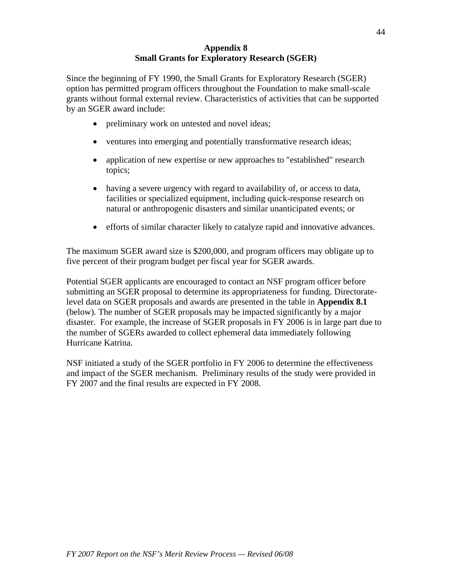#### **Appendix 8 Small Grants for Exploratory Research (SGER)**

Since the beginning of FY 1990, the Small Grants for Exploratory Research (SGER) option has permitted program officers throughout the Foundation to make small-scale grants without formal external review. Characteristics of activities that can be supported by an SGER award include:

- preliminary work on untested and novel ideas;
- ventures into emerging and potentially transformative research ideas;
- application of new expertise or new approaches to "established" research topics;
- having a severe urgency with regard to availability of, or access to data, facilities or specialized equipment, including quick-response research on natural or anthropogenic disasters and similar unanticipated events; or
- efforts of similar character likely to catalyze rapid and innovative advances.

The maximum SGER award size is \$200,000, and program officers may obligate up to five percent of their program budget per fiscal year for SGER awards.

Potential SGER applicants are encouraged to contact an NSF program officer before submitting an SGER proposal to determine its appropriateness for funding. Directoratelevel data on SGER proposals and awards are presented in the table in **Appendix 8.1**  (below). The number of SGER proposals may be impacted significantly by a major disaster. For example, the increase of SGER proposals in FY 2006 is in large part due to the number of SGERs awarded to collect ephemeral data immediately following Hurricane Katrina.

NSF initiated a study of the SGER portfolio in FY 2006 to determine the effectiveness and impact of the SGER mechanism. Preliminary results of the study were provided in FY 2007 and the final results are expected in FY 2008.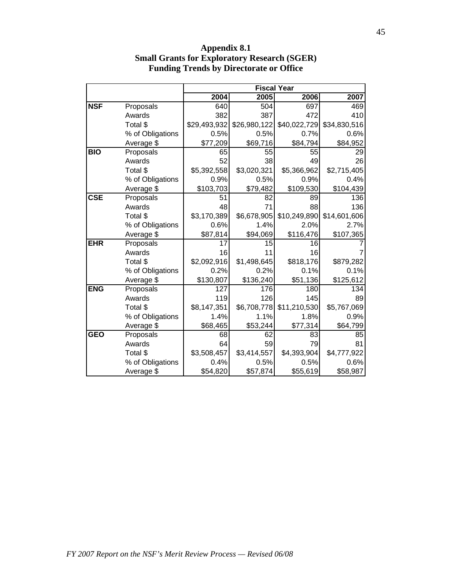|                         |                  |              |              | <b>Fiscal Year</b> |              |
|-------------------------|------------------|--------------|--------------|--------------------|--------------|
|                         |                  | 2004         | 2005         | 2006               | 2007         |
| <b>NSF</b>              | Proposals        | 640          | 504          | 697                | 469          |
|                         | Awards           | 382          | 387          | 472                | 410          |
|                         | Total \$         | \$29,493,932 | \$26,980,122 | \$40,022,729       | \$34,830,516 |
|                         | % of Obligations | 0.5%         | 0.5%         | 0.7%               | 0.6%         |
|                         | Average \$       | \$77,209     | \$69,716     | \$84,794           | \$84,952     |
| <b>BIO</b>              | Proposals        | 65           | 55           | 55                 | 29           |
|                         | Awards           | 52           | 38           | 49                 | 26           |
|                         | Total \$         | \$5,392,558  | \$3,020,321  | \$5,366,962        | \$2,715,405  |
|                         | % of Obligations | 0.9%         | 0.5%         | 0.9%               | 0.4%         |
|                         | Average \$       | \$103,703    | \$79,482     | \$109,530          | \$104,439    |
| $\overline{\text{CSE}}$ | Proposals        | 51           | 82           | 89                 | 136          |
|                         | Awards           | 48           | 71           | 88                 | 136          |
|                         | Total \$         | \$3,170,389  | \$6,678,905  | \$10,249,890       | \$14,601,606 |
|                         | % of Obligations | 0.6%         | 1.4%         | 2.0%               | 2.7%         |
|                         | Average \$       | \$87,814     | \$94,069     | \$116,476          | \$107,365    |
| <b>EHR</b>              | Proposals        | 17           | 15           | 16                 |              |
|                         | Awards           | 16           | 11           | 16                 |              |
|                         | Total \$         | \$2,092,916  | \$1,498,645  | \$818,176          | \$879,282    |
|                         | % of Obligations | 0.2%         | 0.2%         | 0.1%               | 0.1%         |
|                         | Average \$       | \$130,807    | \$136,240    | \$51,136           | \$125,612    |
| <b>ENG</b>              | Proposals        | 127          | 176          | 180                | 134          |
|                         | Awards           | 119          | 126          | 145                | 89           |
|                         | Total \$         | \$8,147,351  | \$6,708,778  | \$11,210,530       | \$5,767,069  |
|                         | % of Obligations | 1.4%         | 1.1%         | 1.8%               | 0.9%         |
|                         | Average \$       | \$68,465     | \$53,244     | \$77,314           | \$64,799     |
| <b>GEO</b>              | Proposals        | 68           | 62           | 83                 | 85           |
|                         | Awards           | 64           | 59           | 79                 | 81           |
|                         | Total \$         | \$3,508,457  | \$3,414,557  | \$4,393,904        | \$4,777,922  |
|                         | % of Obligations | 0.4%         | 0.5%         | 0.5%               | 0.6%         |
|                         | Average \$       | \$54,820     | \$57,874     | \$55,619           | \$58,987     |

**Appendix 8.1 Small Grants for Exploratory Research (SGER) Funding Trends by Directorate or Office**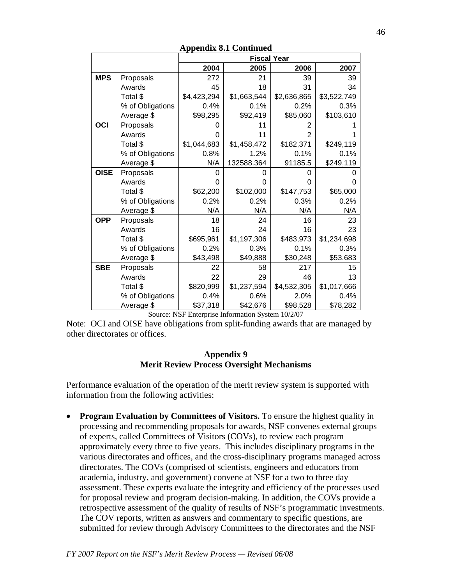|             |                  |             | <b>Fiscal Year</b> |                |             |
|-------------|------------------|-------------|--------------------|----------------|-------------|
|             |                  | 2004        | 2005               | 2006           | 2007        |
| <b>MPS</b>  | Proposals        | 272         | 21                 | 39             | 39          |
|             | Awards           | 45          | 18                 | 31             | 34          |
|             | Total \$         | \$4,423,294 | \$1,663,544        | \$2,636,865    | \$3,522,749 |
|             | % of Obligations | 0.4%        | 0.1%               | 0.2%           | 0.3%        |
|             | Average \$       | \$98,295    | \$92,419           | \$85,060       | \$103,610   |
| OCI         | Proposals        |             | 11                 | 2              |             |
|             | Awards           |             | 11                 | $\overline{2}$ |             |
|             | Total \$         | \$1,044,683 | \$1,458,472        | \$182,371      | \$249,119   |
|             | % of Obligations | 0.8%        | 1.2%               | 0.1%           | 0.1%        |
|             | Average \$       | N/A         | 132588.364         | 91185.5        | \$249,119   |
| <b>OISE</b> | Proposals        | ი           |                    | 0              |             |
|             | Awards           | O           | 0                  | 0              |             |
|             | Total \$         | \$62,200    | \$102,000          | \$147,753      | \$65,000    |
|             | % of Obligations | 0.2%        | 0.2%               | 0.3%           | 0.2%        |
|             | Average \$       | N/A         | N/A                | N/A            | N/A         |
| <b>OPP</b>  | Proposals        | 18          | 24                 | 16             | 23          |
|             | Awards           | 16          | 24                 | 16             | 23          |
|             | Total \$         | \$695,961   | \$1,197,306        | \$483,973      | \$1,234,698 |
|             | % of Obligations | 0.2%        | 0.3%               | 0.1%           | 0.3%        |
|             | Average \$       | \$43,498    | \$49,888           | \$30,248       | \$53,683    |
| <b>SBE</b>  | Proposals        | 22          | 58                 | 217            | 15          |
|             | Awards           | 22          | 29                 | 46             | 13          |
|             | Total \$         | \$820,999   | \$1,237,594        | \$4,532,305    | \$1,017,666 |
|             | % of Obligations | 0.4%        | 0.6%               | 2.0%           | 0.4%        |
|             | Average \$       | \$37,318    | \$42,676           | \$98,528       | \$78,282    |

**Appendix 8.1 Continued** 

Source: NSF Enterprise Information System 10/2/07

Note: OCI and OISE have obligations from split-funding awards that are managed by other directorates or offices.

#### **Appendix 9 Merit Review Process Oversight Mechanisms**

Performance evaluation of the operation of the merit review system is supported with information from the following activities:

• **Program Evaluation by Committees of Visitors.** To ensure the highest quality in processing and recommending proposals for awards, NSF convenes external groups of experts, called Committees of Visitors (COVs), to review each program approximately every three to five years. This includes disciplinary programs in the various directorates and offices, and the cross-disciplinary programs managed across directorates. The COVs (comprised of scientists, engineers and educators from academia, industry, and government) convene at NSF for a two to three day assessment. These experts evaluate the integrity and efficiency of the processes used for proposal review and program decision-making. In addition, the COVs provide a retrospective assessment of the quality of results of NSF's programmatic investments. The COV reports, written as answers and commentary to specific questions, are submitted for review through Advisory Committees to the directorates and the NSF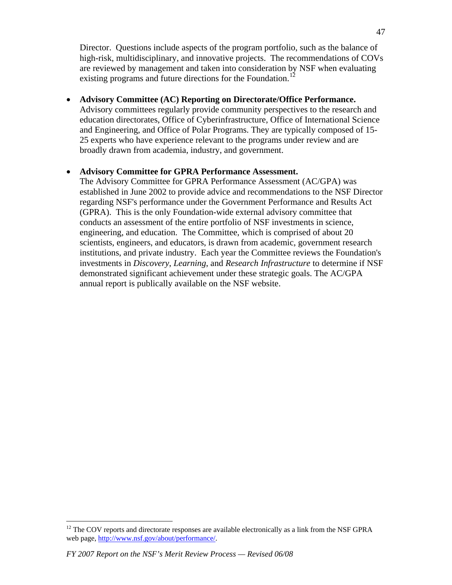Director. Questions include aspects of the program portfolio, such as the balance of high-risk, multidisciplinary, and innovative projects. The recommendations of COVs are reviewed by management and taken into consideration by NSF when evaluating existing programs and future directions for the Foundation.<sup>[12](#page-46-0)</sup>

#### • **Advisory Committee (AC) Reporting on Directorate/Office Performance.**

Advisory committees regularly provide community perspectives to the research and education directorates, Office of Cyberinfrastructure, Office of International Science and Engineering, and Office of Polar Programs. They are typically composed of 15- 25 experts who have experience relevant to the programs under review and are broadly drawn from academia, industry, and government.

### • **Advisory Committee for GPRA Performance Assessment.**

The Advisory Committee for GPRA Performance Assessment (AC/GPA) was established in June 2002 to provide advice and recommendations to the NSF Director regarding NSF's performance under the Government Performance and Results Act (GPRA). This is the only Foundation-wide external advisory committee that conducts an assessment of the entire portfolio of NSF investments in science, engineering, and education. The Committee, which is comprised of about 20 scientists, engineers, and educators, is drawn from academic, government research institutions, and private industry. Each year the Committee reviews the Foundation's investments in *Discovery*, *Learning*, and *Research Infrastructure* to determine if NSF demonstrated significant achievement under these strategic goals. The AC/GPA annual report is publically available on the NSF website.

 $\overline{a}$ 

<span id="page-46-0"></span> $12$  The COV reports and directorate responses are available electronically as a link from the NSF GPRA web page, [http://www.nsf.gov/about/performance/.](http://www.nsf.gov/about/performance/)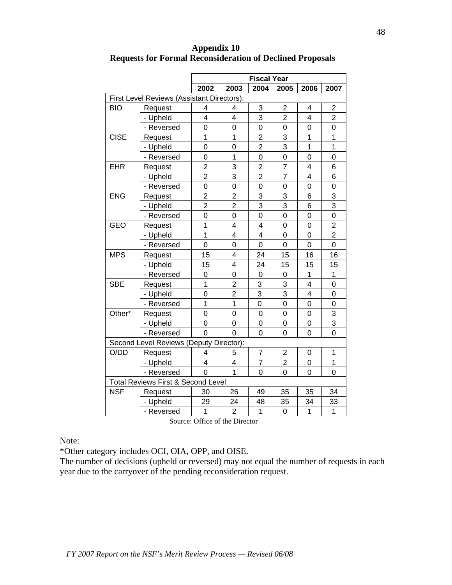|             |                                               | <b>Fiscal Year</b>      |                |                |                |                         |                |
|-------------|-----------------------------------------------|-------------------------|----------------|----------------|----------------|-------------------------|----------------|
|             |                                               | 2002                    | 2003           | 2004           | 2005           | 2006                    | 2007           |
|             | First Level Reviews (Assistant Directors):    |                         |                |                |                |                         |                |
| <b>BIO</b>  | Request                                       | 4                       | 4              | 3              | $\overline{2}$ | 4                       | 2              |
|             | - Upheld                                      | $\overline{\mathbf{4}}$ | 4              | 3              | $\overline{2}$ | $\overline{\mathbf{4}}$ | $\overline{2}$ |
|             | - Reversed                                    | $\overline{0}$          | 0              | $\overline{0}$ | 0              | $\overline{0}$          | 0              |
| <b>CISE</b> | Request                                       | $\overline{1}$          | 1              | $\overline{2}$ | 3              | 1                       | 1              |
|             | - Upheld                                      | $\overline{0}$          | 0              | $\overline{2}$ | 3              | 1                       | $\mathbf 1$    |
|             | - Reversed                                    | 0                       | 1              | 0              | $\overline{0}$ | 0                       | 0              |
| <b>EHR</b>  | Request                                       | $\overline{2}$          | 3              | $\overline{c}$ | $\overline{7}$ | 4                       | 6              |
|             | - Upheld                                      | $\overline{2}$          | 3              | $\overline{2}$ | $\overline{7}$ | $\overline{4}$          | 6              |
|             | - Reversed                                    | $\overline{0}$          | $\overline{0}$ | $\overline{0}$ | $\overline{0}$ | $\overline{0}$          | 0              |
| <b>ENG</b>  | Request                                       | $\overline{2}$          | $\overline{2}$ | 3              | 3              | 6                       | 3              |
|             | - Upheld                                      | $\overline{2}$          | $\overline{2}$ | 3              | 3              | 6                       | 3              |
|             | - Reversed                                    | $\overline{0}$          | 0              | 0              | 0              | 0                       | 0              |
| <b>GEO</b>  | Request                                       | 1                       | $\overline{4}$ | 4              | 0              | 0                       | $\overline{2}$ |
|             | - Upheld                                      | 1                       | 4              | 4              | $\overline{0}$ | $\mathbf 0$             | $\overline{2}$ |
|             | - Reversed                                    | $\overline{0}$          | 0              | 0              | $\overline{0}$ | $\overline{0}$          | 0              |
| <b>MPS</b>  | Request                                       | 15                      | $\overline{4}$ | 24             | 15             | 16                      | 16             |
|             | - Upheld                                      | 15                      | $\overline{4}$ | 24             | 15             | 15                      | 15             |
|             | - Reversed                                    | 0                       | 0              | $\mathbf 0$    | 0              | 1                       | 1              |
| <b>SBE</b>  | Request                                       | $\mathbf 1$             | $\overline{2}$ | 3              | 3              | $\overline{\mathbf{4}}$ | 0              |
|             | - Upheld                                      | $\overline{0}$          | $\overline{2}$ | 3              | 3              | 4                       | 0              |
|             | - Reversed                                    | $\overline{1}$          | $\overline{1}$ | $\overline{0}$ | $\overline{0}$ | $\overline{0}$          | 0              |
| Other*      | Request                                       | $\overline{0}$          | $\overline{0}$ | 0              | 0              | 0                       | 3              |
|             | - Upheld                                      | $\overline{0}$          | 0              | 0              | 0              | 0                       | 3              |
|             | - Reversed                                    | $\overline{0}$          | $\overline{0}$ | 0              | 0              | 0                       | $\overline{0}$ |
|             | Second Level Reviews (Deputy Director):       |                         |                |                |                |                         |                |
| O/DD        | Request                                       | 4                       | 5              | $\overline{7}$ | $\mathbf 2$    | 0                       | 1              |
|             | - Upheld                                      | 4                       | 4              | 7              | $\overline{2}$ | 0                       | 1              |
|             | - Reversed                                    | $\Omega$                | $\overline{1}$ | 0              | 0              | $\overline{0}$          | 0              |
|             | <b>Total Reviews First &amp; Second Level</b> |                         |                |                |                |                         |                |
| <b>NSF</b>  | Request                                       | 30                      | 26             | 49             | 35             | 35                      | 34             |
|             | - Upheld                                      | 29                      | 24             | 48             | 35             | 34                      | 33             |
|             | - Reversed                                    | 1                       | $\overline{2}$ | 1              | 0              | $\mathbf 1$             | $\overline{1}$ |

**Appendix 10 Requests for Formal Reconsideration of Declined Proposals** 

Source: Office of the Director

Note:

\*Other category includes OCI, OIA, OPP, and OISE.

The number of decisions (upheld or reversed) may not equal the number of requests in each year due to the carryover of the pending reconsideration request.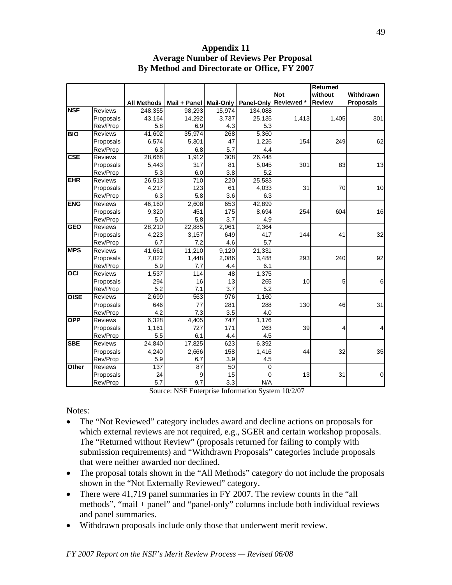|             |                |                    |                 |                  |            |            | Returned      |                  |
|-------------|----------------|--------------------|-----------------|------------------|------------|------------|---------------|------------------|
|             |                |                    |                 |                  |            | <b>Not</b> | without       | Withdrawn        |
|             |                | <b>All Methods</b> | Mail + Panel    | <b>Mail-Only</b> | Panel-Only | Reviewed * | <b>Review</b> | <b>Proposals</b> |
| <b>NSF</b>  | <b>Reviews</b> | 248,355            | 98.293          | 15,974           | 134,088    |            |               |                  |
|             | Proposals      | 43,164             | 14,292          | 3,737            | 25,135     | 1,413      | 1,405         | 301              |
|             | Rev/Prop       | 5.8                | 6.9             | 4.3              | 5.3        |            |               |                  |
| <b>BIO</b>  | Reviews        | 41,602             | 35,974          | 268              | 5,360      |            |               |                  |
|             | Proposals      | 6,574              | 5,301           | 47               | 1,226      | 154        | 249           | 62               |
|             | Rev/Prop       | 6.3                | 6.8             | 5.7              | 4.4        |            |               |                  |
| CSE         | <b>Reviews</b> | 28,668             | 1,912           | 308              | 26,448     |            |               |                  |
|             | Proposals      | 5,443              | 317             | 81               | 5,045      | 301        | 83            | 13               |
|             | Rev/Prop       | 5.3                | 6.0             | 3.8              | 5.2        |            |               |                  |
| <b>EHR</b>  | <b>Reviews</b> | 26,513             | 710             | 220              | 25,583     |            |               |                  |
|             | Proposals      | 4,217              | 123             | 61               | 4,033      | 31         | 70            | 10               |
|             | Rev/Prop       | 6.3                | 5.8             | 3.6              | 6.3        |            |               |                  |
| <b>ENG</b>  | <b>Reviews</b> | 46,160             | 2,608           | 653              | 42,899     |            |               |                  |
|             | Proposals      | 9,320              | 451             | 175              | 8,694      | 254        | 604           | 16               |
|             | Rev/Prop       | 5.0                | 5.8             | 3.7              | 4.9        |            |               |                  |
| <b>GEO</b>  | Reviews        | 28,210             | 22,885          | 2,961            | 2,364      |            |               |                  |
|             | Proposals      | 4,223              | 3,157           | 649              | 417        | 144        | 41            | 32               |
|             | Rev/Prop       | 6.7                | 7.2             | 4.6              | 5.7        |            |               |                  |
| <b>MPS</b>  | Reviews        | 41,661             | 11,210          | 9,120            | 21,331     |            |               |                  |
|             | Proposals      | 7,022              | 1,448           | 2,086            | 3,488      | 293        | 240           | 92               |
|             | Rev/Prop       | 5.9                | 7.7             | 4.4              | 6.1        |            |               |                  |
| OCI         | <b>Reviews</b> | 1,537              | 114             | 48               | 1,375      |            |               |                  |
|             | Proposals      | 294                | 16              | 13               | 265        | 10         | 5             | $\,6$            |
|             | Rev/Prop       | 5.2                | 7.1             | 3.7              | 5.2        |            |               |                  |
| <b>OISE</b> | <b>Reviews</b> | 2,699              | 563             | 976              | 1,160      |            |               |                  |
|             | Proposals      | 646                | 77              | 281              | 288        | 130        | 46            | 31               |
|             | Rev/Prop       | 4.2                | 7.3             | 3.5              | 4.0        |            |               |                  |
| <b>OPP</b>  | Reviews        | 6,328              | 4,405           | 747              | 1,176      |            |               |                  |
|             | Proposals      | 1,161              | 727             | 171              | 263        | 39         | 4             | $\overline{4}$   |
|             | Rev/Prop       | 5.5                | 6.1             | 4.4              | 4.5        |            |               |                  |
| <b>SBE</b>  | <b>Reviews</b> | 24,840             | 17,825          | 623              | 6,392      |            |               |                  |
|             | Proposals      | 4,240              | 2,666           | 158              | 1,416      | 44         | 32            | 35               |
|             | Rev/Prop       | 5.9                | 6.7             | 3.9              | 4.5        |            |               |                  |
| Other       | <b>Reviews</b> | 137                | $\overline{87}$ | $\overline{50}$  | 0          |            |               |                  |
|             | Proposals      | 24                 | 9               | 15               | 0          | 13         | 31            | $\mathbf 0$      |
|             | Rev/Prop       | 5.7                | 9.7             | 3.3              | N/A        |            |               |                  |

**Appendix 11 Average Number of Reviews Per Proposal By Method and Directorate or Office, FY 2007** 

Source: NSF Enterprise Information System 10/2/07

Notes:

- The "Not Reviewed" category includes award and decline actions on proposals for which external reviews are not required, e.g., SGER and certain workshop proposals. The "Returned without Review" (proposals returned for failing to comply with submission requirements) and "Withdrawn Proposals" categories include proposals that were neither awarded nor declined.
- The proposal totals shown in the "All Methods" category do not include the proposals shown in the "Not Externally Reviewed" category.
- There were 41,719 panel summaries in FY 2007. The review counts in the "all" methods", "mail + panel" and "panel-only" columns include both individual reviews and panel summaries.
- Withdrawn proposals include only those that underwent merit review.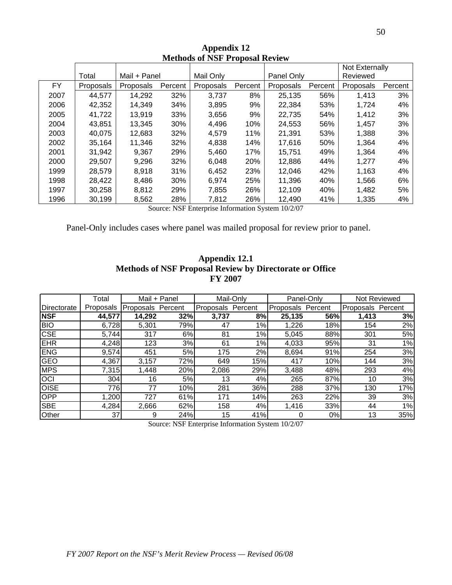|      |           |              |         |           |            |            |         | Not Externally |         |
|------|-----------|--------------|---------|-----------|------------|------------|---------|----------------|---------|
|      | Total     | Mail + Panel |         | Mail Only |            | Panel Only |         | Reviewed       |         |
| FY.  | Proposals | Proposals    | Percent | Proposals | Percent    | Proposals  | Percent | Proposals      | Percent |
| 2007 | 44,577    | 14,292       | 32%     | 3,737     | 8%         | 25,135     | 56%     | 1,413          | 3%      |
| 2006 | 42.352    | 14.349       | 34%     | 3.895     | 9%         | 22.384     | 53%     | 1.724          | 4%      |
| 2005 | 41,722    | 13,919       | 33%     | 3,656     | 9%         | 22,735     | 54%     | 1,412          | 3%      |
| 2004 | 43,851    | 13,345       | 30%     | 4,496     | 10%        | 24,553     | 56%     | 1,457          | 3%      |
| 2003 | 40,075    | 12,683       | 32%     | 4,579     | 11%        | 21,391     | 53%     | 1,388          | 3%      |
| 2002 | 35,164    | 11.346       | 32%     | 4,838     | 14%        | 17.616     | 50%     | 1,364          | 4%      |
| 2001 | 31,942    | 9,367        | 29%     | 5,460     | 17%        | 15.751     | 49%     | 1.364          | 4%      |
| 2000 | 29,507    | 9,296        | 32%     | 6,048     | <b>20%</b> | 12,886     | 44%     | 1,277          | 4%      |
| 1999 | 28,579    | 8,918        | 31%     | 6,452     | 23%        | 12,046     | 42%     | 1,163          | 4%      |
| 1998 | 28,422    | 8,486        | 30%     | 6.974     | 25%        | 11,396     | 40%     | 1,566          | 6%      |
| 1997 | 30,258    | 8,812        | 29%     | 7,855     | 26%        | 12,109     | 40%     | 1,482          | 5%      |
| 1996 | 30,199    | 8,562        | 28%     | 7,812     | 26%        | 12,490     | 41%     | 1,335          | 4%      |

**Appendix 12 Methods of NSF Proposal Review** 

Source: NSF Enterprise Information System 10/2/07

Panel-Only includes cases where panel was mailed proposal for review prior to panel.

### **Appendix 12.1 Methods of NSF Proposal Review by Directorate or Office FY 2007**

|             | Total     | Mail + Panel      |     | Mail-Only |         | Panel-Only |         | Not Reviewed      |     |
|-------------|-----------|-------------------|-----|-----------|---------|------------|---------|-------------------|-----|
| Directorate | Proposals | Proposals Percent |     | Proposals | Percent | Proposals  | Percent | Proposals Percent |     |
| <b>NSF</b>  | 44,577    | 14,292            | 32% | 3,737     | 8%      | 25,135     | 56%     | 1,413             | 3%  |
| <b>BIO</b>  | 6,728     | 5,301             | 79% | 47        | 1%      | 1,226      | 18%     | 154               | 2%  |
| CSE         | 5,744     | 317               | 6%  | 81        | 1%      | 5,045      | 88%     | 301               | 5%  |
| <b>EHR</b>  | 4,248     | 123               | 3%  | 61        | 1%      | 4,033      | 95%     | 31                | 1%  |
| <b>ENG</b>  | 9,574     | 451               | 5%  | 175       | 2%      | 8,694      | 91%     | 254               | 3%  |
| <b>GEO</b>  | 4,367     | 3,157             | 72% | 649       | 15%     | 417        | 10%     | 144               | 3%  |
| <b>MPS</b>  | 7,315     | 1.448             | 20% | 2.086     | 29%     | 3.488      | 48%     | 293               | 4%  |
| <b>OCI</b>  | 304       | 16                | 5%  | 13        | 4%      | 265        | 87%     | 10                | 3%  |
| <b>OISE</b> | 776       | 77                | 10% | 281       | 36%     | 288        | 37%     | 130               | 17% |
| <b>OPP</b>  | 200, ا    | 727               | 61% | 171       | 14%     | 263        | 22%     | 39                | 3%  |
| <b>SBE</b>  | 4,284     | 2,666             | 62% | 158       | 4%      | 1,416      | 33%     | 44                | 1%  |
| Other       | 37        | 9                 | 24% | 15        | 41%     | 0          | 0%      | 13                | 35% |

Source: NSF Enterprise Information System 10/2/07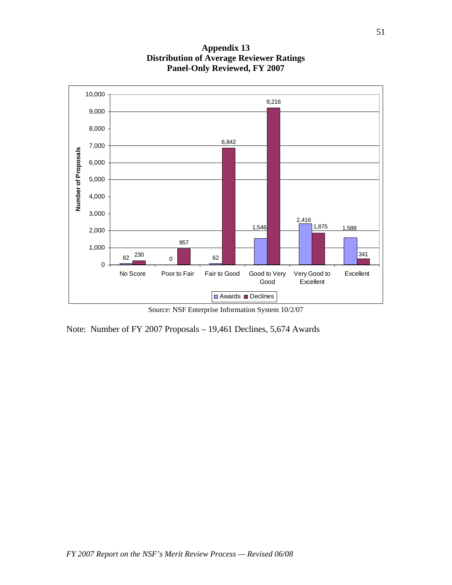

**Appendix 13 Distribution of Average Reviewer Ratings Panel-Only Reviewed, FY 2007** 

Source: NSF Enterprise Information System 10/2/07

Note: Number of FY 2007 Proposals – 19,461 Declines, 5,674 Awards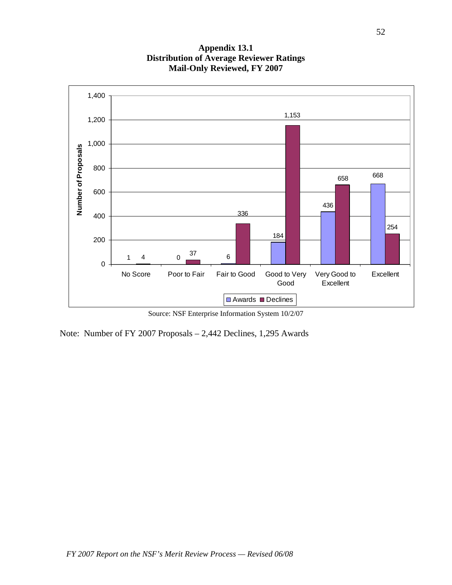

**Appendix 13.1 Distribution of Average Reviewer Ratings Mail-Only Reviewed, FY 2007** 

Source: NSF Enterprise Information System 10/2/07

Note: Number of FY 2007 Proposals – 2,442 Declines, 1,295 Awards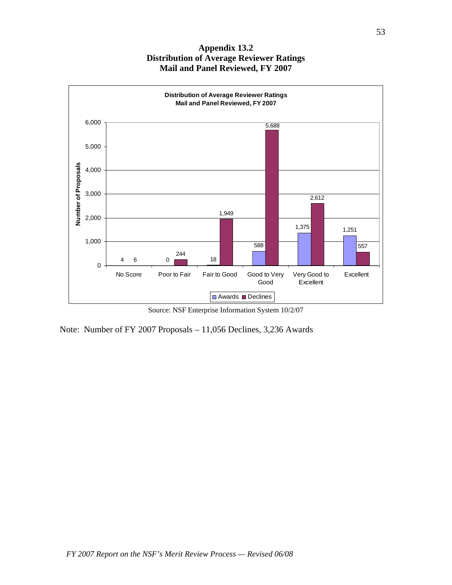#### **Appendix 13.2 Distribution of Average Reviewer Ratings Mail and Panel Reviewed, FY 2007**



Source: NSF Enterprise Information System 10/2/07

Note: Number of FY 2007 Proposals – 11,056 Declines, 3,236 Awards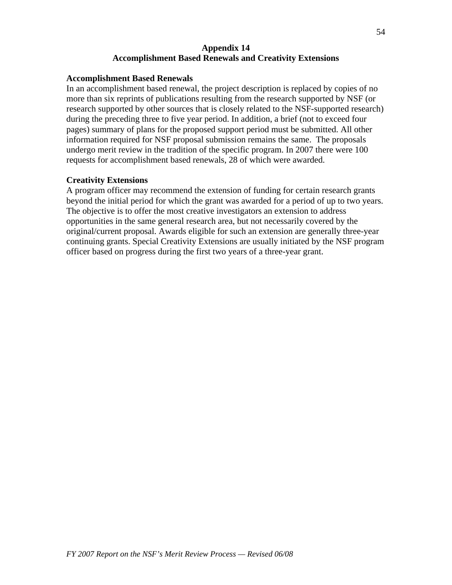#### **Appendix 14 Accomplishment Based Renewals and Creativity Extensions**

#### **Accomplishment Based Renewals**

In an accomplishment based renewal, the project description is replaced by copies of no more than six reprints of publications resulting from the research supported by NSF (or research supported by other sources that is closely related to the NSF-supported research) during the preceding three to five year period. In addition, a brief (not to exceed four pages) summary of plans for the proposed support period must be submitted. All other information required for NSF proposal submission remains the same. The proposals undergo merit review in the tradition of the specific program. In 2007 there were 100 requests for accomplishment based renewals, 28 of which were awarded.

#### **Creativity Extensions**

A program officer may recommend the extension of funding for certain research grants beyond the initial period for which the grant was awarded for a period of up to two years. The objective is to offer the most creative investigators an extension to address opportunities in the same general research area, but not necessarily covered by the original/current proposal. Awards eligible for such an extension are generally three-year continuing grants. Special Creativity Extensions are usually initiated by the NSF program officer based on progress during the first two years of a three-year grant.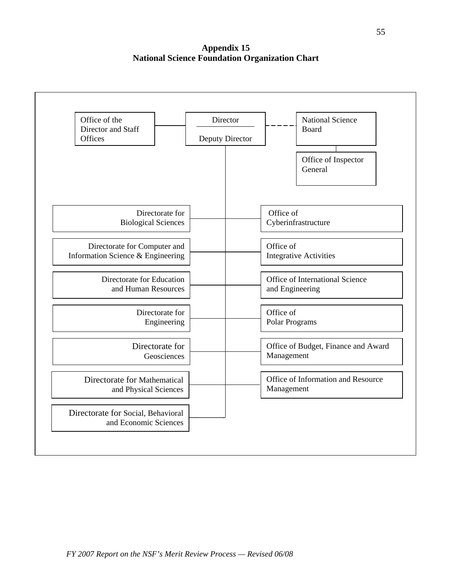**Appendix 15 National Science Foundation Organization Chart**